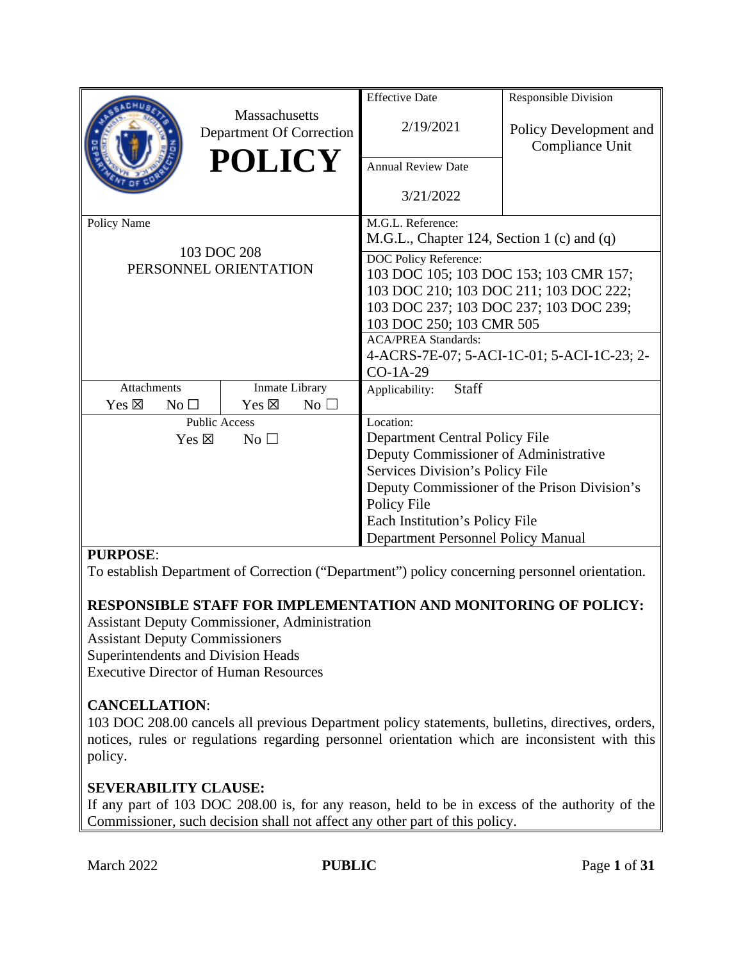|                                    |                                                  | <b>Effective Date</b>                                           | Responsible Division                      |  |
|------------------------------------|--------------------------------------------------|-----------------------------------------------------------------|-------------------------------------------|--|
|                                    | <b>Massachusetts</b><br>Department Of Correction | 2/19/2021                                                       | Policy Development and<br>Compliance Unit |  |
|                                    | <b>POLICY</b>                                    | <b>Annual Review Date</b>                                       |                                           |  |
|                                    |                                                  | 3/21/2022                                                       |                                           |  |
| Policy Name                        |                                                  | M.G.L. Reference:<br>M.G.L., Chapter 124, Section 1 (c) and (q) |                                           |  |
|                                    | 103 DOC 208                                      | DOC Policy Reference:                                           |                                           |  |
|                                    | PERSONNEL ORIENTATION                            | 103 DOC 105; 103 DOC 153; 103 CMR 157;                          |                                           |  |
|                                    |                                                  | 103 DOC 210; 103 DOC 211; 103 DOC 222;                          |                                           |  |
|                                    |                                                  | 103 DOC 237; 103 DOC 237; 103 DOC 239;                          |                                           |  |
|                                    |                                                  | 103 DOC 250; 103 CMR 505                                        |                                           |  |
|                                    |                                                  | <b>ACA/PREA Standards:</b>                                      |                                           |  |
|                                    |                                                  | 4-ACRS-7E-07; 5-ACI-1C-01; 5-ACI-1C-23; 2-                      |                                           |  |
|                                    |                                                  | $CO-1A-29$                                                      |                                           |  |
| Attachments                        | <b>Inmate Library</b>                            | Staff<br>Applicability:                                         |                                           |  |
| $Yes \boxtimes$<br>No <sub>1</sub> | Yes $\boxtimes$<br>No <sub>1</sub>               |                                                                 |                                           |  |
|                                    | <b>Public Access</b>                             | Location:                                                       |                                           |  |
| Yes $\boxtimes$                    | $No$ $\square$                                   | Department Central Policy File                                  |                                           |  |
|                                    |                                                  | Deputy Commissioner of Administrative                           |                                           |  |
|                                    |                                                  | Services Division's Policy File                                 |                                           |  |
|                                    |                                                  | Deputy Commissioner of the Prison Division's                    |                                           |  |
|                                    |                                                  | Policy File                                                     |                                           |  |
|                                    |                                                  | Each Institution's Policy File                                  |                                           |  |
|                                    |                                                  | Department Personnel Policy Manual                              |                                           |  |

#### **PURPOSE**:

To establish Department of Correction ("Department") policy concerning personnel orientation.

#### **RESPONSIBLE STAFF FOR IMPLEMENTATION AND MONITORING OF POLICY:**

Assistant Deputy Commissioner, Administration Assistant Deputy Commissioners Superintendents and Division Heads Executive Director of Human Resources

#### **CANCELLATION**:

103 DOC 208.00 cancels all previous Department policy statements, bulletins, directives, orders, notices, rules or regulations regarding personnel orientation which are inconsistent with this policy.

#### **SEVERABILITY CLAUSE:**

If any part of 103 DOC 208.00 is, for any reason, held to be in excess of the authority of the Commissioner, such decision shall not affect any other part of this policy.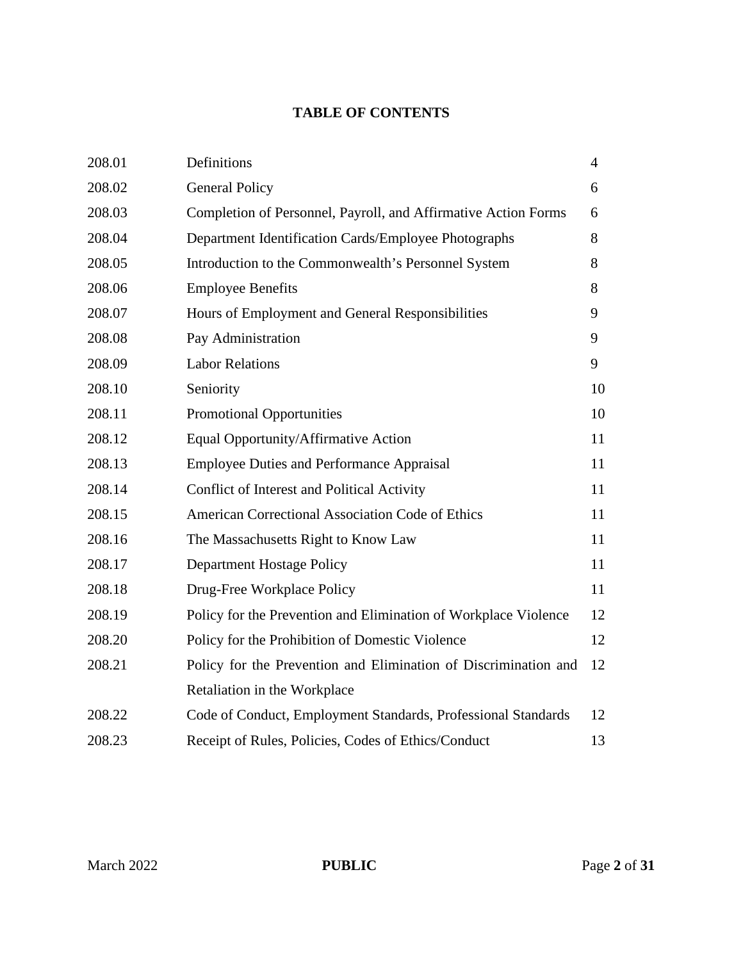## **TABLE OF CONTENTS**

| 208.01 | Definitions                                                     | $\overline{4}$ |
|--------|-----------------------------------------------------------------|----------------|
| 208.02 | <b>General Policy</b>                                           | 6              |
| 208.03 | Completion of Personnel, Payroll, and Affirmative Action Forms  | 6              |
| 208.04 | Department Identification Cards/Employee Photographs            | 8              |
| 208.05 | Introduction to the Commonwealth's Personnel System             | 8              |
| 208.06 | <b>Employee Benefits</b>                                        | 8              |
| 208.07 | Hours of Employment and General Responsibilities                | 9              |
| 208.08 | Pay Administration                                              | 9              |
| 208.09 | <b>Labor Relations</b>                                          | 9              |
| 208.10 | Seniority                                                       | 10             |
| 208.11 | <b>Promotional Opportunities</b>                                | 10             |
| 208.12 | Equal Opportunity/Affirmative Action                            | 11             |
| 208.13 | <b>Employee Duties and Performance Appraisal</b>                | 11             |
| 208.14 | Conflict of Interest and Political Activity                     | 11             |
| 208.15 | American Correctional Association Code of Ethics                | 11             |
| 208.16 | The Massachusetts Right to Know Law                             | 11             |
| 208.17 | Department Hostage Policy                                       | 11             |
| 208.18 | Drug-Free Workplace Policy                                      | 11             |
| 208.19 | Policy for the Prevention and Elimination of Workplace Violence | 12             |
| 208.20 | Policy for the Prohibition of Domestic Violence                 | 12             |
| 208.21 | Policy for the Prevention and Elimination of Discrimination and | 12             |
|        | Retaliation in the Workplace                                    |                |
| 208.22 | Code of Conduct, Employment Standards, Professional Standards   | 12             |
| 208.23 | Receipt of Rules, Policies, Codes of Ethics/Conduct             | 13             |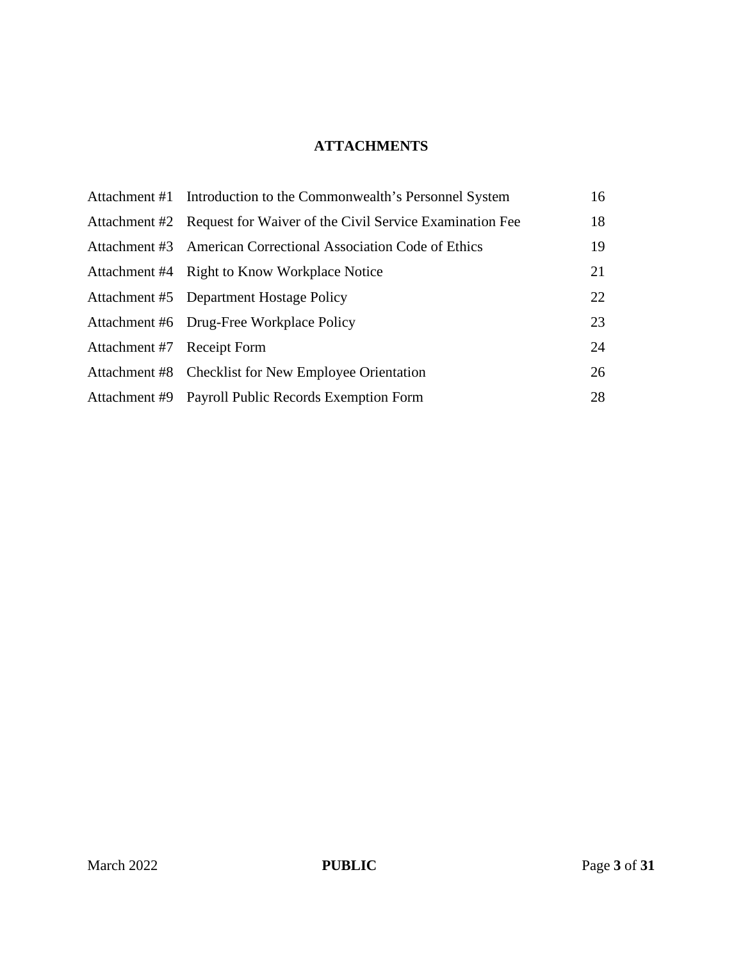# **ATTACHMENTS**

|                            | Attachment #1 Introduction to the Commonwealth's Personnel System     | 16 |
|----------------------------|-----------------------------------------------------------------------|----|
|                            | Attachment #2 Request for Waiver of the Civil Service Examination Fee | 18 |
|                            | Attachment #3 American Correctional Association Code of Ethics        | 19 |
|                            | Attachment #4 Right to Know Workplace Notice                          | 21 |
|                            | Attachment #5 Department Hostage Policy                               | 22 |
|                            | Attachment #6 Drug-Free Workplace Policy                              | 23 |
| Attachment #7 Receipt Form |                                                                       | 24 |
|                            | Attachment #8 Checklist for New Employee Orientation                  | 26 |
|                            | Attachment #9 Payroll Public Records Exemption Form                   | 28 |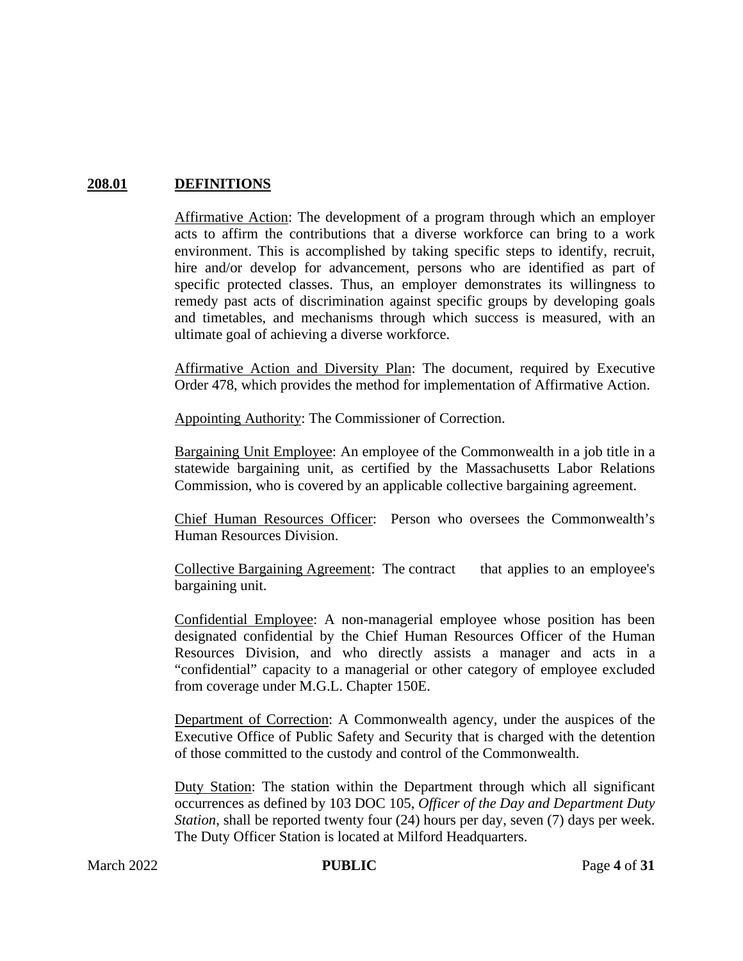## **208.01 DEFINITIONS**

Affirmative Action: The development of a program through which an employer acts to affirm the contributions that a diverse workforce can bring to a work environment. This is accomplished by taking specific steps to identify, recruit, hire and/or develop for advancement, persons who are identified as part of specific protected classes. Thus, an employer demonstrates its willingness to remedy past acts of discrimination against specific groups by developing goals and timetables, and mechanisms through which success is measured, with an ultimate goal of achieving a diverse workforce.

Affirmative Action and Diversity Plan: The document, required by Executive Order 478, which provides the method for implementation of Affirmative Action.

Appointing Authority: The Commissioner of Correction.

Bargaining Unit Employee: An employee of the Commonwealth in a job title in a statewide bargaining unit, as certified by the Massachusetts Labor Relations Commission, who is covered by an applicable collective bargaining agreement.

Chief Human Resources Officer: Person who oversees the Commonwealth's Human Resources Division.

Collective Bargaining Agreement: The contract that applies to an employee's bargaining unit.

Confidential Employee: A non-managerial employee whose position has been designated confidential by the Chief Human Resources Officer of the Human Resources Division, and who directly assists a manager and acts in a "confidential" capacity to a managerial or other category of employee excluded from coverage under M.G.L. Chapter 150E.

Department of Correction: A Commonwealth agency, under the auspices of the Executive Office of Public Safety and Security that is charged with the detention of those committed to the custody and control of the Commonwealth.

Duty Station: The station within the Department through which all significant occurrences as defined by 103 DOC 105, *Officer of the Day and Department Duty Station*, shall be reported twenty four (24) hours per day, seven (7) days per week. The Duty Officer Station is located at Milford Headquarters.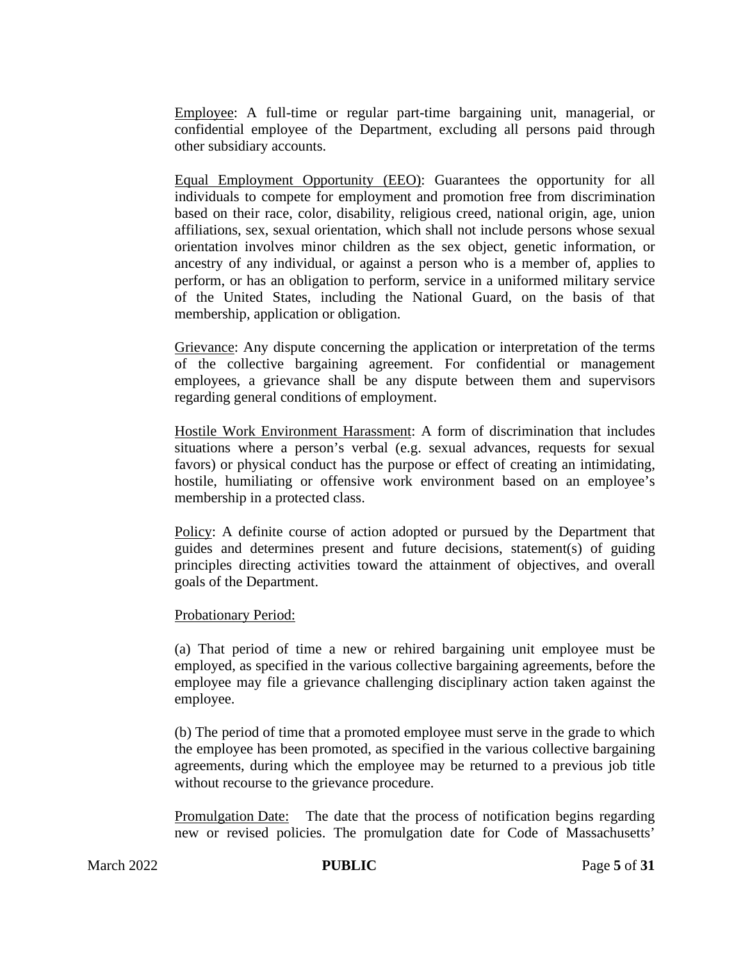Employee: A full-time or regular part-time bargaining unit, managerial, or confidential employee of the Department, excluding all persons paid through other subsidiary accounts.

Equal Employment Opportunity (EEO): Guarantees the opportunity for all individuals to compete for employment and promotion free from discrimination based on their race, color, disability, religious creed, national origin, age, union affiliations, sex, sexual orientation, which shall not include persons whose sexual orientation involves minor children as the sex object, genetic information, or ancestry of any individual, or against a person who is a member of, applies to perform, or has an obligation to perform, service in a uniformed military service of the United States, including the National Guard, on the basis of that membership, application or obligation.

Grievance: Any dispute concerning the application or interpretation of the terms of the collective bargaining agreement. For confidential or management employees, a grievance shall be any dispute between them and supervisors regarding general conditions of employment.

Hostile Work Environment Harassment: A form of discrimination that includes situations where a person's verbal (e.g. sexual advances, requests for sexual favors) or physical conduct has the purpose or effect of creating an intimidating, hostile, humiliating or offensive work environment based on an employee's membership in a protected class.

Policy: A definite course of action adopted or pursued by the Department that guides and determines present and future decisions, statement(s) of guiding principles directing activities toward the attainment of objectives, and overall goals of the Department.

#### Probationary Period:

(a) That period of time a new or rehired bargaining unit employee must be employed, as specified in the various collective bargaining agreements, before the employee may file a grievance challenging disciplinary action taken against the employee.

(b) The period of time that a promoted employee must serve in the grade to which the employee has been promoted, as specified in the various collective bargaining agreements, during which the employee may be returned to a previous job title without recourse to the grievance procedure.

Promulgation Date: The date that the process of notification begins regarding new or revised policies. The promulgation date for Code of Massachusetts'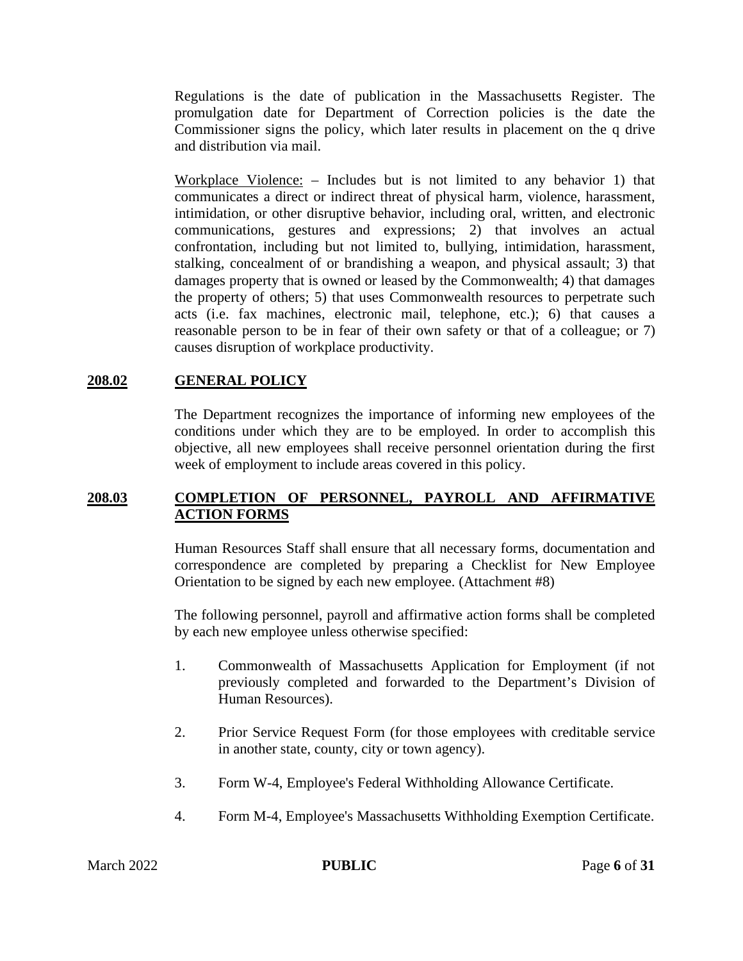Regulations is the date of publication in the Massachusetts Register. The promulgation date for Department of Correction policies is the date the Commissioner signs the policy, which later results in placement on the q drive and distribution via mail.

Workplace Violence: – Includes but is not limited to any behavior 1) that communicates a direct or indirect threat of physical harm, violence, harassment, intimidation, or other disruptive behavior, including oral, written, and electronic communications, gestures and expressions; 2) that involves an actual confrontation, including but not limited to, bullying, intimidation, harassment, stalking, concealment of or brandishing a weapon, and physical assault; 3) that damages property that is owned or leased by the Commonwealth; 4) that damages the property of others; 5) that uses Commonwealth resources to perpetrate such acts (i.e. fax machines, electronic mail, telephone, etc.); 6) that causes a reasonable person to be in fear of their own safety or that of a colleague; or 7) causes disruption of workplace productivity.

#### **208.02 GENERAL POLICY**

The Department recognizes the importance of informing new employees of the conditions under which they are to be employed. In order to accomplish this objective, all new employees shall receive personnel orientation during the first week of employment to include areas covered in this policy.

#### **208.03 COMPLETION OF PERSONNEL, PAYROLL AND AFFIRMATIVE ACTION FORMS**

Human Resources Staff shall ensure that all necessary forms, documentation and correspondence are completed by preparing a Checklist for New Employee Orientation to be signed by each new employee. (Attachment #8)

The following personnel, payroll and affirmative action forms shall be completed by each new employee unless otherwise specified:

- 1. Commonwealth of Massachusetts Application for Employment (if not previously completed and forwarded to the Department's Division of Human Resources).
- 2. Prior Service Request Form (for those employees with creditable service in another state, county, city or town agency).
- 3. Form W-4, Employee's Federal Withholding Allowance Certificate.
- 4. Form M-4, Employee's Massachusetts Withholding Exemption Certificate.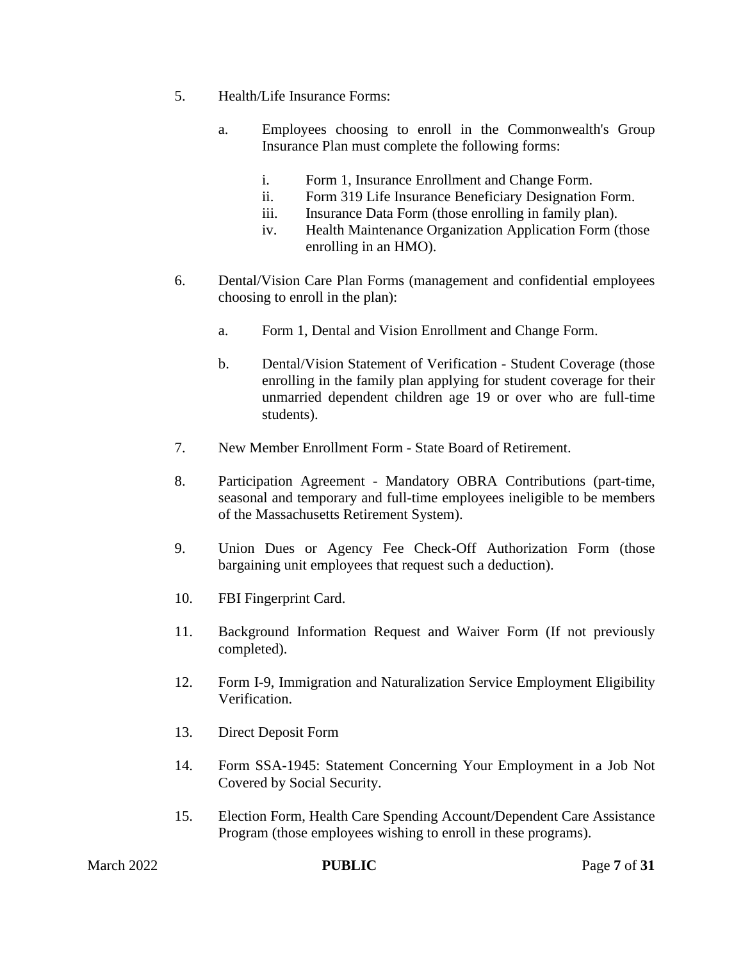- 5. Health/Life Insurance Forms:
	- a. Employees choosing to enroll in the Commonwealth's Group Insurance Plan must complete the following forms:
		- i. Form 1, Insurance Enrollment and Change Form.
		- ii. Form 319 Life Insurance Beneficiary Designation Form.
		- iii. Insurance Data Form (those enrolling in family plan).
		- iv. Health Maintenance Organization Application Form (those enrolling in an HMO).
- 6. Dental/Vision Care Plan Forms (management and confidential employees choosing to enroll in the plan):
	- a. Form 1, Dental and Vision Enrollment and Change Form.
	- b. Dental/Vision Statement of Verification Student Coverage (those enrolling in the family plan applying for student coverage for their unmarried dependent children age 19 or over who are full-time students).
- 7. New Member Enrollment Form State Board of Retirement.
- 8. Participation Agreement Mandatory OBRA Contributions (part-time, seasonal and temporary and full-time employees ineligible to be members of the Massachusetts Retirement System).
- 9. Union Dues or Agency Fee Check-Off Authorization Form (those bargaining unit employees that request such a deduction).
- 10. FBI Fingerprint Card.
- 11. Background Information Request and Waiver Form (If not previously completed).
- 12. Form I-9, Immigration and Naturalization Service Employment Eligibility Verification.
- 13. Direct Deposit Form
- 14. Form SSA-1945: Statement Concerning Your Employment in a Job Not Covered by Social Security.
- 15. Election Form, Health Care Spending Account/Dependent Care Assistance Program (those employees wishing to enroll in these programs).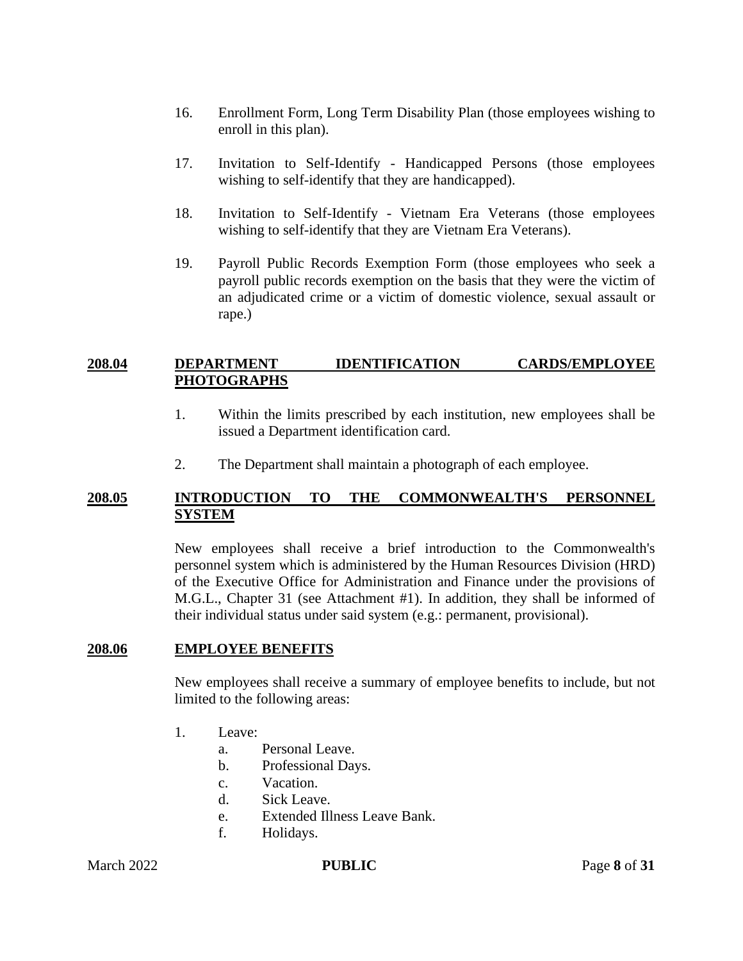- 16. Enrollment Form, Long Term Disability Plan (those employees wishing to enroll in this plan).
- 17. Invitation to Self-Identify Handicapped Persons (those employees wishing to self-identify that they are handicapped).
- 18. Invitation to Self-Identify Vietnam Era Veterans (those employees wishing to self-identify that they are Vietnam Era Veterans).
- 19. Payroll Public Records Exemption Form (those employees who seek a payroll public records exemption on the basis that they were the victim of an adjudicated crime or a victim of domestic violence, sexual assault or rape.)

#### **208.04 DEPARTMENT IDENTIFICATION CARDS/EMPLOYEE PHOTOGRAPHS**

- 1. Within the limits prescribed by each institution, new employees shall be issued a Department identification card.
- 2. The Department shall maintain a photograph of each employee.

#### **208.05 INTRODUCTION TO THE COMMONWEALTH'S PERSONNEL SYSTEM**

New employees shall receive a brief introduction to the Commonwealth's personnel system which is administered by the Human Resources Division (HRD) of the Executive Office for Administration and Finance under the provisions of M.G.L., Chapter 31 (see Attachment #1). In addition, they shall be informed of their individual status under said system (e.g.: permanent, provisional).

#### **208.06 EMPLOYEE BENEFITS**

New employees shall receive a summary of employee benefits to include, but not limited to the following areas:

- 1. Leave:
	- a. Personal Leave.
	- b. Professional Days.
	- c. Vacation.
	- d. Sick Leave.
	- e. Extended Illness Leave Bank.
	- f. Holidays.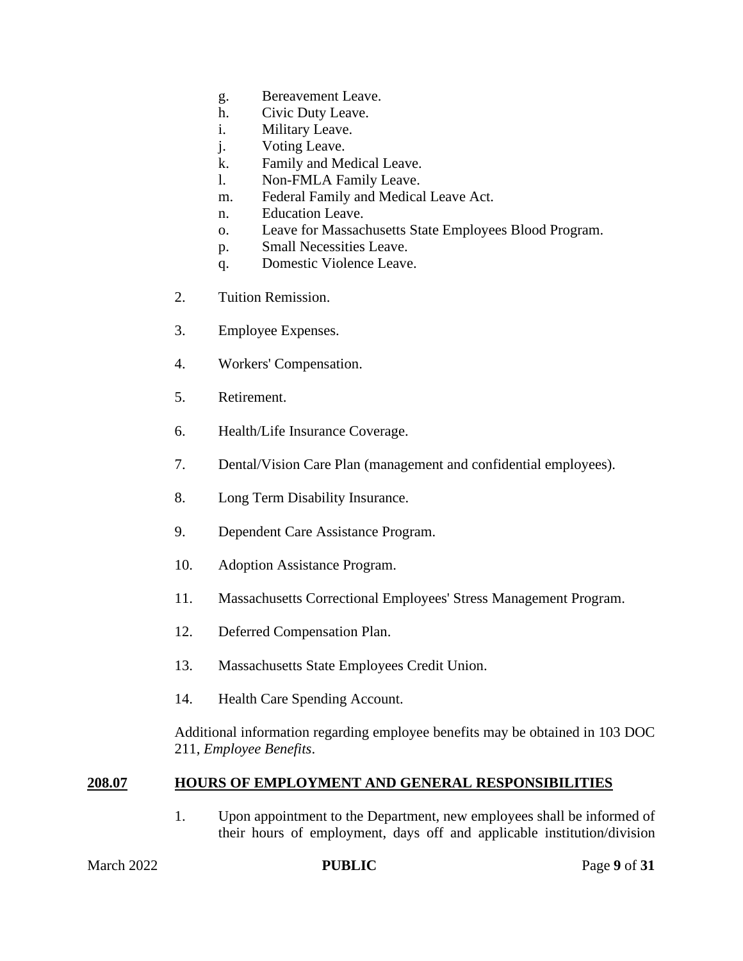- g. Bereavement Leave.
- h. Civic Duty Leave.
- i. Military Leave.
- j. Voting Leave.
- k. Family and Medical Leave.
- l. Non-FMLA Family Leave.
- m. Federal Family and Medical Leave Act.
- n. Education Leave.
- o. Leave for Massachusetts State Employees Blood Program.
- p. Small Necessities Leave.
- q. Domestic Violence Leave.
- 2. Tuition Remission.
- 3. Employee Expenses.
- 4. Workers' Compensation.
- 5. Retirement.
- 6. Health/Life Insurance Coverage.
- 7. Dental/Vision Care Plan (management and confidential employees).
- 8. Long Term Disability Insurance.
- 9. Dependent Care Assistance Program.
- 10. Adoption Assistance Program.
- 11. Massachusetts Correctional Employees' Stress Management Program.
- 12. Deferred Compensation Plan.
- 13. Massachusetts State Employees Credit Union.
- 14. Health Care Spending Account.

Additional information regarding employee benefits may be obtained in 103 DOC 211, *Employee Benefits*.

#### **208.07 HOURS OF EMPLOYMENT AND GENERAL RESPONSIBILITIES**

1. Upon appointment to the Department, new employees shall be informed of their hours of employment, days off and applicable institution/division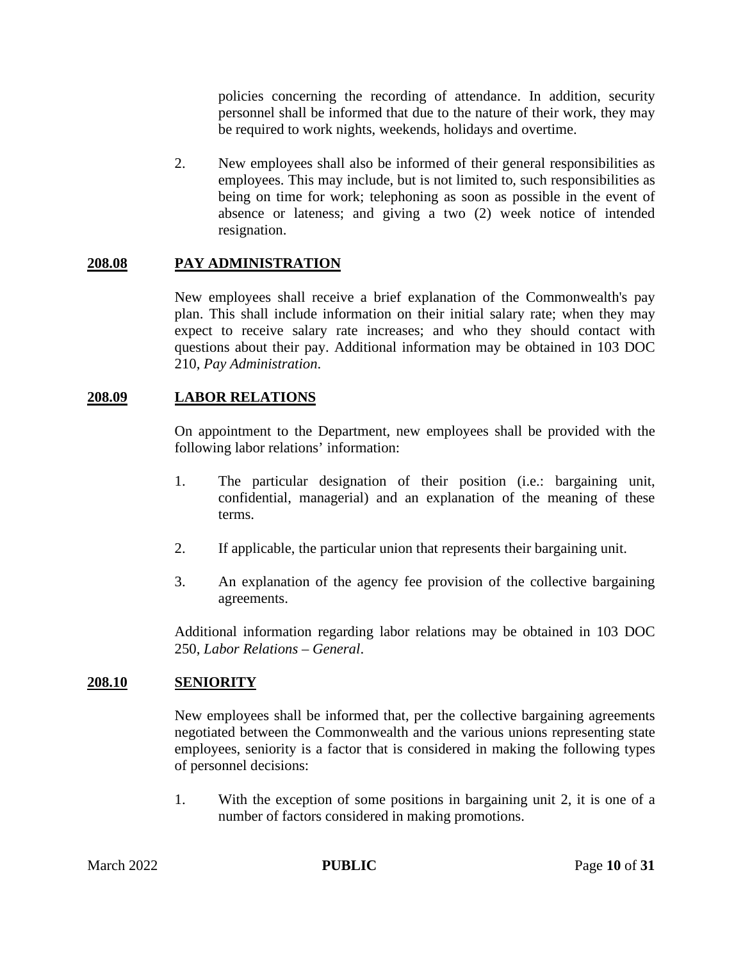policies concerning the recording of attendance. In addition, security personnel shall be informed that due to the nature of their work, they may be required to work nights, weekends, holidays and overtime.

2. New employees shall also be informed of their general responsibilities as employees. This may include, but is not limited to, such responsibilities as being on time for work; telephoning as soon as possible in the event of absence or lateness; and giving a two (2) week notice of intended resignation.

#### **208.08 PAY ADMINISTRATION**

New employees shall receive a brief explanation of the Commonwealth's pay plan. This shall include information on their initial salary rate; when they may expect to receive salary rate increases; and who they should contact with questions about their pay. Additional information may be obtained in 103 DOC 210, *Pay Administration*.

#### **208.09 LABOR RELATIONS**

On appointment to the Department, new employees shall be provided with the following labor relations' information:

- 1. The particular designation of their position (i.e.: bargaining unit, confidential, managerial) and an explanation of the meaning of these terms.
- 2. If applicable, the particular union that represents their bargaining unit.
- 3. An explanation of the agency fee provision of the collective bargaining agreements.

Additional information regarding labor relations may be obtained in 103 DOC 250, *Labor Relations – General*.

#### **208.10 SENIORITY**

New employees shall be informed that, per the collective bargaining agreements negotiated between the Commonwealth and the various unions representing state employees, seniority is a factor that is considered in making the following types of personnel decisions:

1. With the exception of some positions in bargaining unit 2, it is one of a number of factors considered in making promotions.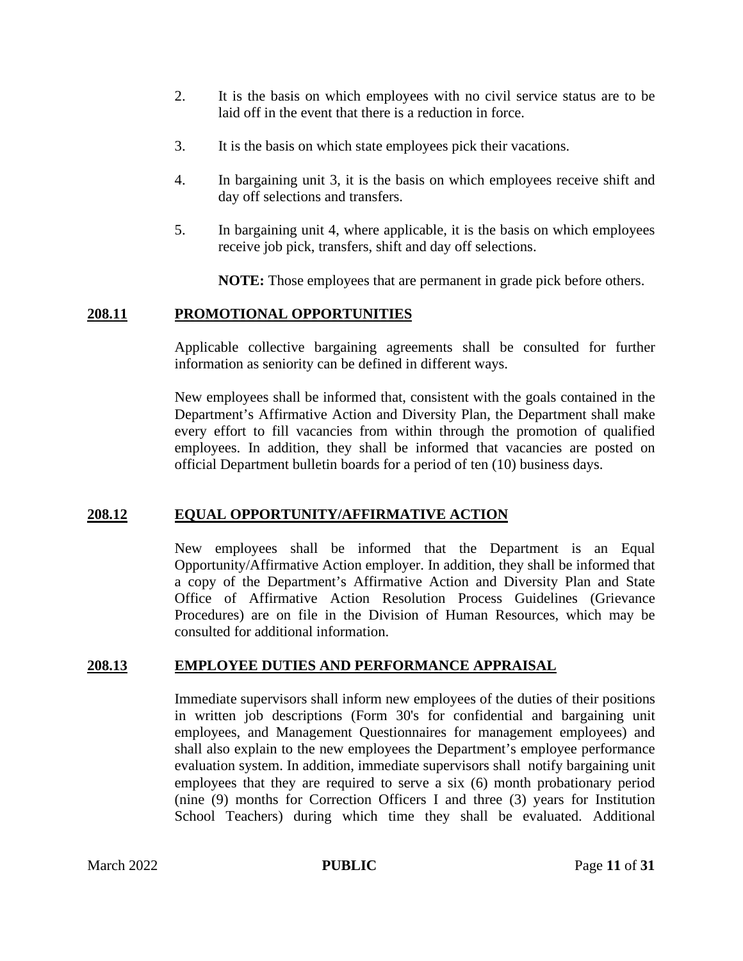- 2. It is the basis on which employees with no civil service status are to be laid off in the event that there is a reduction in force.
- 3. It is the basis on which state employees pick their vacations.
- 4. In bargaining unit 3, it is the basis on which employees receive shift and day off selections and transfers.
- 5. In bargaining unit 4, where applicable, it is the basis on which employees receive job pick, transfers, shift and day off selections.

**NOTE:** Those employees that are permanent in grade pick before others.

#### **208.11 PROMOTIONAL OPPORTUNITIES**

Applicable collective bargaining agreements shall be consulted for further information as seniority can be defined in different ways.

New employees shall be informed that, consistent with the goals contained in the Department's Affirmative Action and Diversity Plan, the Department shall make every effort to fill vacancies from within through the promotion of qualified employees. In addition, they shall be informed that vacancies are posted on official Department bulletin boards for a period of ten (10) business days.

#### **208.12 EQUAL OPPORTUNITY/AFFIRMATIVE ACTION**

New employees shall be informed that the Department is an Equal Opportunity/Affirmative Action employer. In addition, they shall be informed that a copy of the Department's Affirmative Action and Diversity Plan and State Office of Affirmative Action Resolution Process Guidelines (Grievance Procedures) are on file in the Division of Human Resources, which may be consulted for additional information.

#### **208.13 EMPLOYEE DUTIES AND PERFORMANCE APPRAISAL**

Immediate supervisors shall inform new employees of the duties of their positions in written job descriptions (Form 30's for confidential and bargaining unit employees, and Management Questionnaires for management employees) and shall also explain to the new employees the Department's employee performance evaluation system. In addition, immediate supervisors shall notify bargaining unit employees that they are required to serve a six (6) month probationary period (nine (9) months for Correction Officers I and three (3) years for Institution School Teachers) during which time they shall be evaluated. Additional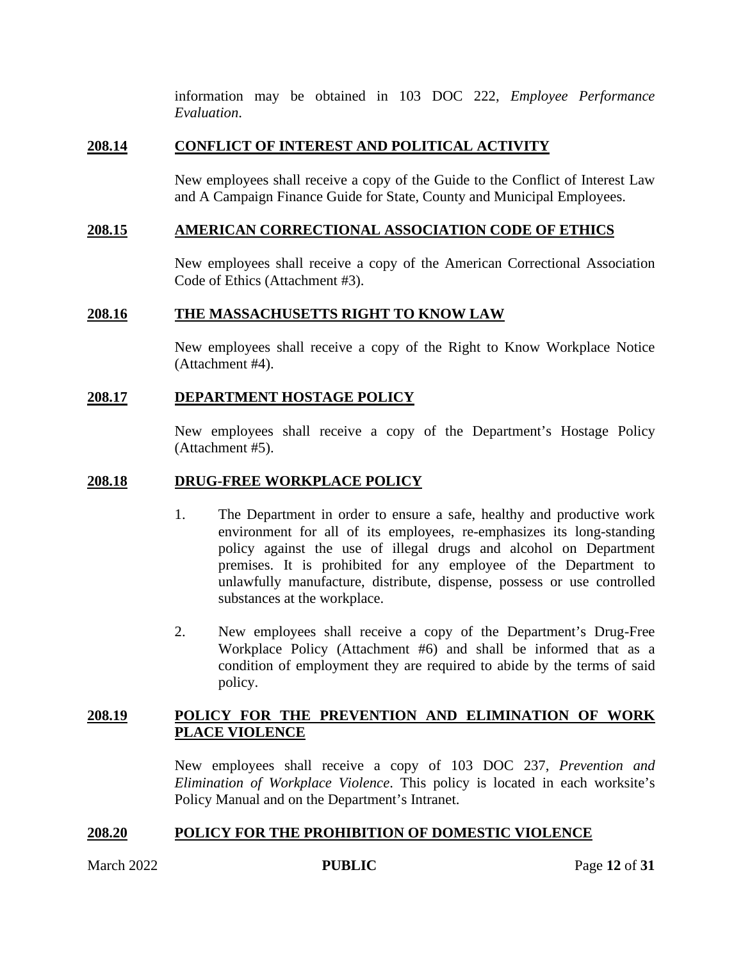information may be obtained in 103 DOC 222, *Employee Performance Evaluation*.

#### **208.14 CONFLICT OF INTEREST AND POLITICAL ACTIVITY**

New employees shall receive a copy of the Guide to the Conflict of Interest Law and A Campaign Finance Guide for State, County and Municipal Employees.

#### **208.15 AMERICAN CORRECTIONAL ASSOCIATION CODE OF ETHICS**

New employees shall receive a copy of the American Correctional Association Code of Ethics (Attachment #3).

#### **208.16 THE MASSACHUSETTS RIGHT TO KNOW LAW**

New employees shall receive a copy of the Right to Know Workplace Notice (Attachment #4).

#### **208.17 DEPARTMENT HOSTAGE POLICY**

New employees shall receive a copy of the Department's Hostage Policy (Attachment #5).

#### **208.18 DRUG-FREE WORKPLACE POLICY**

- 1. The Department in order to ensure a safe, healthy and productive work environment for all of its employees, re-emphasizes its long-standing policy against the use of illegal drugs and alcohol on Department premises. It is prohibited for any employee of the Department to unlawfully manufacture, distribute, dispense, possess or use controlled substances at the workplace.
- 2. New employees shall receive a copy of the Department's Drug-Free Workplace Policy (Attachment #6) and shall be informed that as a condition of employment they are required to abide by the terms of said policy.

#### **208.19 POLICY FOR THE PREVENTION AND ELIMINATION OF WORK PLACE VIOLENCE**

New employees shall receive a copy of 103 DOC 237, *Prevention and Elimination of Workplace Violence*. This policy is located in each worksite's Policy Manual and on the Department's Intranet.

#### **208.20 POLICY FOR THE PROHIBITION OF DOMESTIC VIOLENCE**

March 2022 **PUBLIC** Page 12 of 31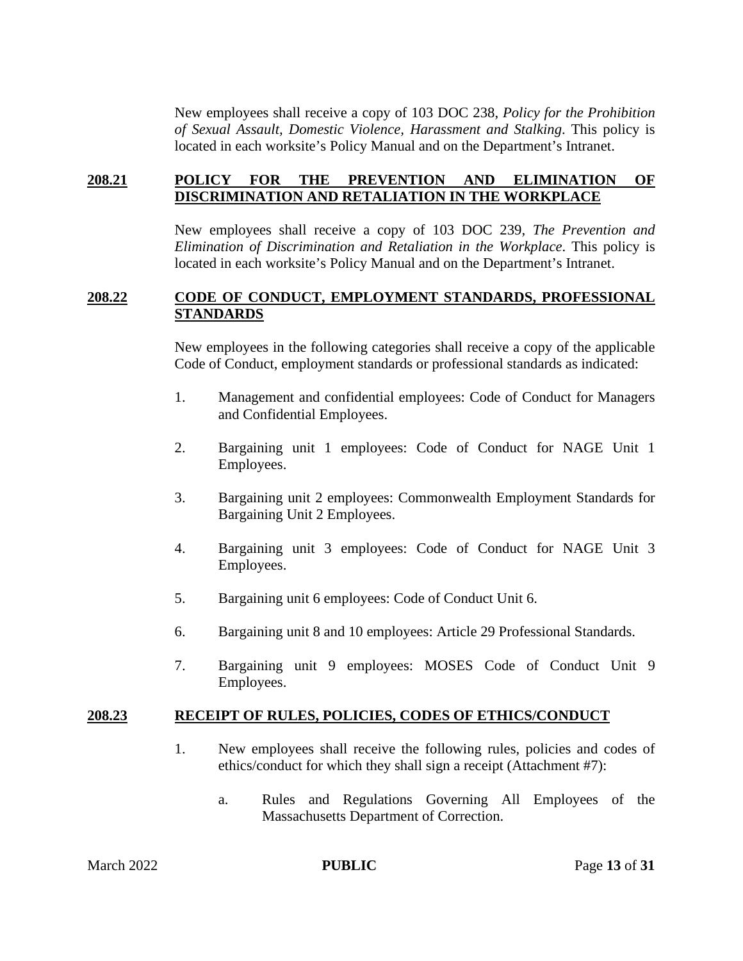New employees shall receive a copy of 103 DOC 238, *Policy for the Prohibition of Sexual Assault, Domestic Violence, Harassment and Stalking*. This policy is located in each worksite's Policy Manual and on the Department's Intranet.

#### **208.21 POLICY FOR THE PREVENTION AND ELIMINATION OF DISCRIMINATION AND RETALIATION IN THE WORKPLACE**

New employees shall receive a copy of 103 DOC 239, *The Prevention and Elimination of Discrimination and Retaliation in the Workplace*. This policy is located in each worksite's Policy Manual and on the Department's Intranet.

#### **208.22 CODE OF CONDUCT, EMPLOYMENT STANDARDS, PROFESSIONAL STANDARDS**

New employees in the following categories shall receive a copy of the applicable Code of Conduct, employment standards or professional standards as indicated:

- 1. Management and confidential employees: Code of Conduct for Managers and Confidential Employees.
- 2. Bargaining unit 1 employees: Code of Conduct for NAGE Unit 1 Employees.
- 3. Bargaining unit 2 employees: Commonwealth Employment Standards for Bargaining Unit 2 Employees.
- 4. Bargaining unit 3 employees: Code of Conduct for NAGE Unit 3 Employees.
- 5. Bargaining unit 6 employees: Code of Conduct Unit 6.
- 6. Bargaining unit 8 and 10 employees: Article 29 Professional Standards.
- 7. Bargaining unit 9 employees: MOSES Code of Conduct Unit 9 Employees.

#### **208.23 RECEIPT OF RULES, POLICIES, CODES OF ETHICS/CONDUCT**

- 1. New employees shall receive the following rules, policies and codes of ethics/conduct for which they shall sign a receipt (Attachment #7):
	- a. Rules and Regulations Governing All Employees of the Massachusetts Department of Correction.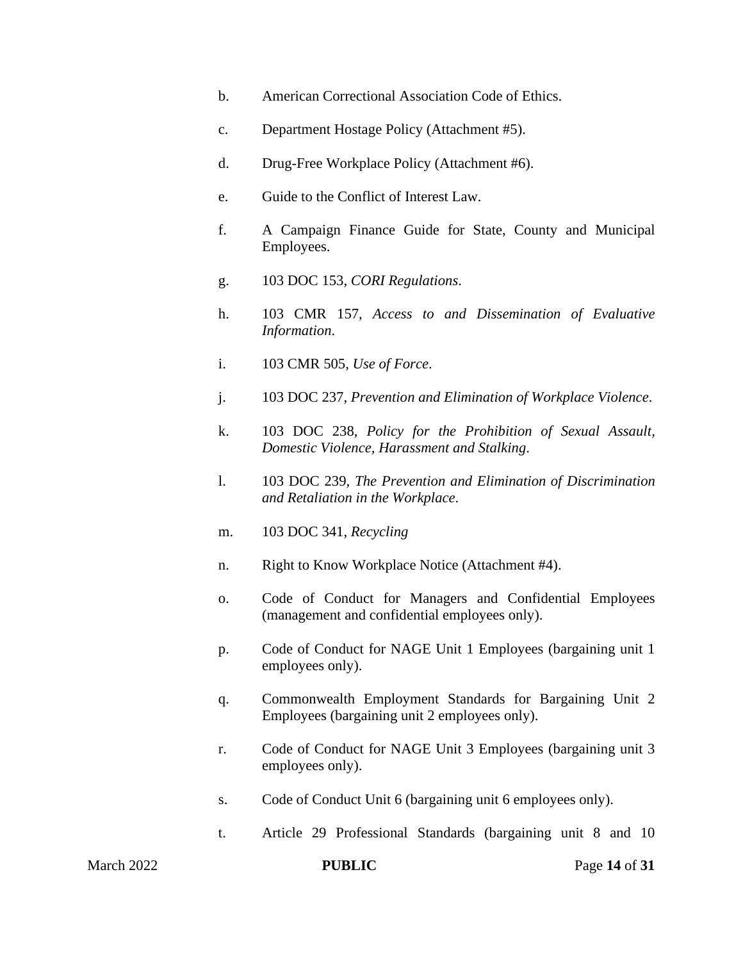- b. American Correctional Association Code of Ethics.
- c. Department Hostage Policy (Attachment #5).
- d. Drug-Free Workplace Policy (Attachment #6).
- e. Guide to the Conflict of Interest Law.
- f. A Campaign Finance Guide for State, County and Municipal Employees.
- g. 103 DOC 153, *CORI Regulations*.
- h. 103 CMR 157, *Access to and Dissemination of Evaluative Information*.
- i. 103 CMR 505, *Use of Force*.
- j. 103 DOC 237, *Prevention and Elimination of Workplace Violence*.
- k. 103 DOC 238, *Policy for the Prohibition of Sexual Assault, Domestic Violence, Harassment and Stalking*.
- l. 103 DOC 239, *The Prevention and Elimination of Discrimination and Retaliation in the Workplace*.
- m. 103 DOC 341, *Recycling*
- n. Right to Know Workplace Notice (Attachment #4).
- o. Code of Conduct for Managers and Confidential Employees (management and confidential employees only).
- p. Code of Conduct for NAGE Unit 1 Employees (bargaining unit 1 employees only).
- q. Commonwealth Employment Standards for Bargaining Unit 2 Employees (bargaining unit 2 employees only).
- r. Code of Conduct for NAGE Unit 3 Employees (bargaining unit 3 employees only).
- s. Code of Conduct Unit 6 (bargaining unit 6 employees only).
- t. Article 29 Professional Standards (bargaining unit 8 and 10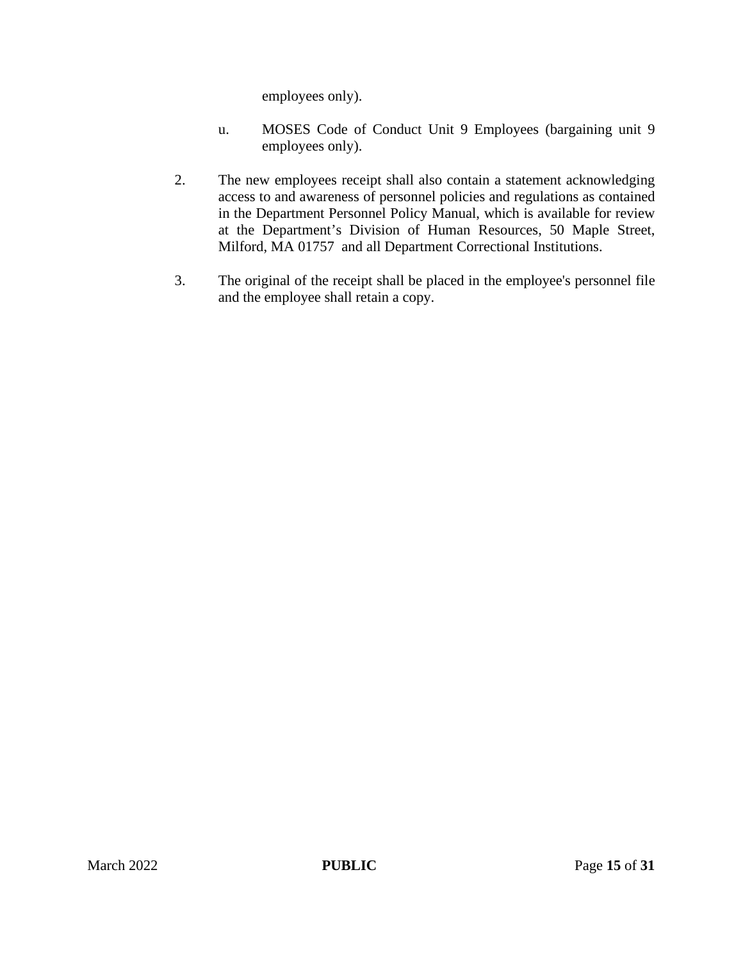employees only).

- u. MOSES Code of Conduct Unit 9 Employees (bargaining unit 9 employees only).
- 2. The new employees receipt shall also contain a statement acknowledging access to and awareness of personnel policies and regulations as contained in the Department Personnel Policy Manual, which is available for review at the Department's Division of Human Resources, 50 Maple Street, Milford, MA 01757 and all Department Correctional Institutions.
- 3. The original of the receipt shall be placed in the employee's personnel file and the employee shall retain a copy.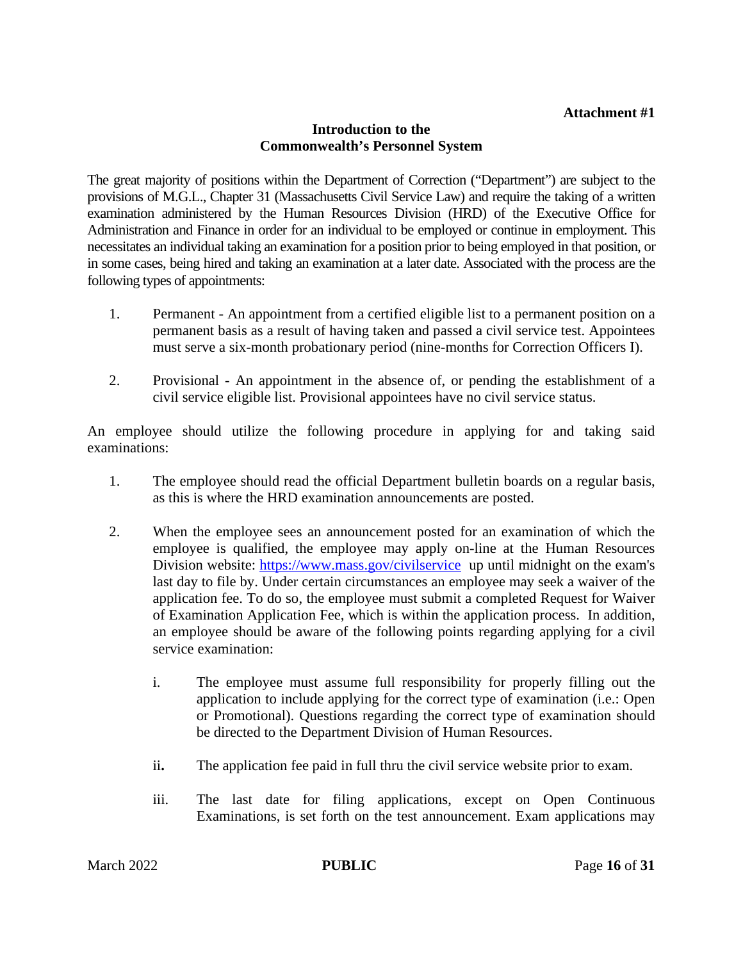#### **Introduction to the Commonwealth's Personnel System**

The great majority of positions within the Department of Correction ("Department") are subject to the provisions of M.G.L., Chapter 31 (Massachusetts Civil Service Law) and require the taking of a written examination administered by the Human Resources Division (HRD) of the Executive Office for Administration and Finance in order for an individual to be employed or continue in employment. This necessitates an individual taking an examination for a position prior to being employed in that position, or in some cases, being hired and taking an examination at a later date. Associated with the process are the following types of appointments:

- 1. Permanent An appointment from a certified eligible list to a permanent position on a permanent basis as a result of having taken and passed a civil service test. Appointees must serve a six-month probationary period (nine-months for Correction Officers I).
- 2. Provisional An appointment in the absence of, or pending the establishment of a civil service eligible list. Provisional appointees have no civil service status.

An employee should utilize the following procedure in applying for and taking said examinations:

- 1. The employee should read the official Department bulletin boards on a regular basis, as this is where the HRD examination announcements are posted.
- 2. When the employee sees an announcement posted for an examination of which the employee is qualified, the employee may apply on-line at the Human Resources Division website: https://www.mass.gov/civilservice up until midnight on the exam's last day to file by. Under certain circumstances an employee may seek a waiver of the application fee. To do so, the employee must submit a completed Request for Waiver of Examination Application Fee, which is within the application process. In addition, an employee should be aware of the following points regarding applying for a civil service examination:
	- i. The employee must assume full responsibility for properly filling out the application to include applying for the correct type of examination (i.e.: Open or Promotional). Questions regarding the correct type of examination should be directed to the Department Division of Human Resources.
	- ii**.** The application fee paid in full thru the civil service website prior to exam.
	- iii. The last date for filing applications, except on Open Continuous Examinations, is set forth on the test announcement. Exam applications may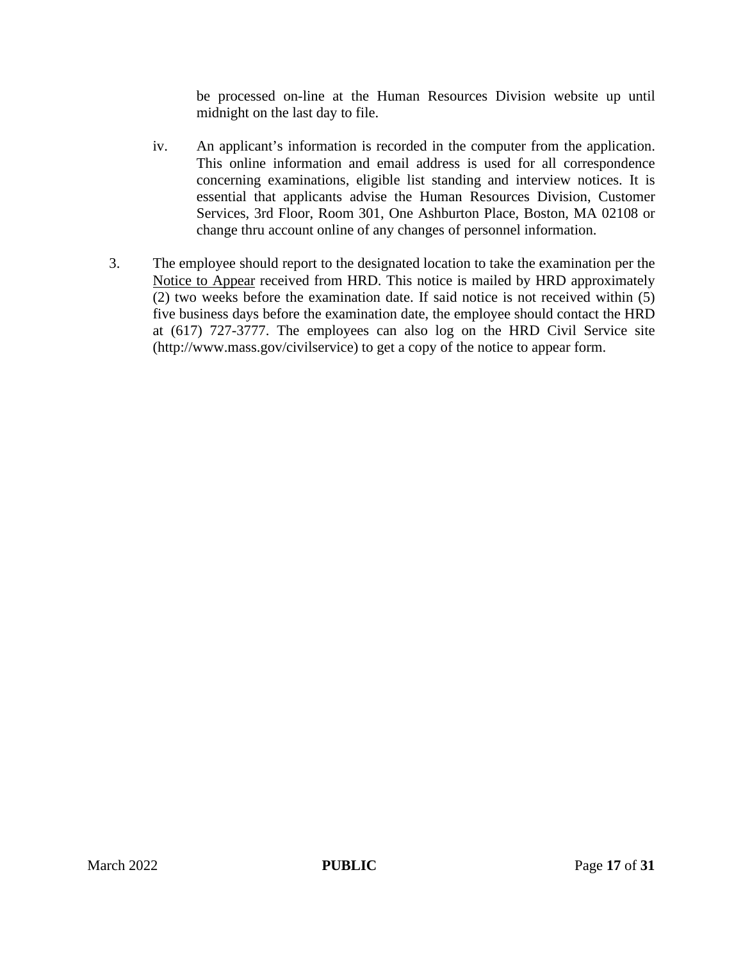be processed on-line at the Human Resources Division website up until midnight on the last day to file.

- iv. An applicant's information is recorded in the computer from the application. This online information and email address is used for all correspondence concerning examinations, eligible list standing and interview notices. It is essential that applicants advise the Human Resources Division, Customer Services, 3rd Floor, Room 301, One Ashburton Place, Boston, MA 02108 or change thru account online of any changes of personnel information.
- 3. The employee should report to the designated location to take the examination per the Notice to Appear received from HRD. This notice is mailed by HRD approximately (2) two weeks before the examination date. If said notice is not received within (5) five business days before the examination date, the employee should contact the HRD at (617) 727-3777. The employees can also log on the HRD Civil Service site (http://www.mass.gov/civilservice) to get a copy of the notice to appear form.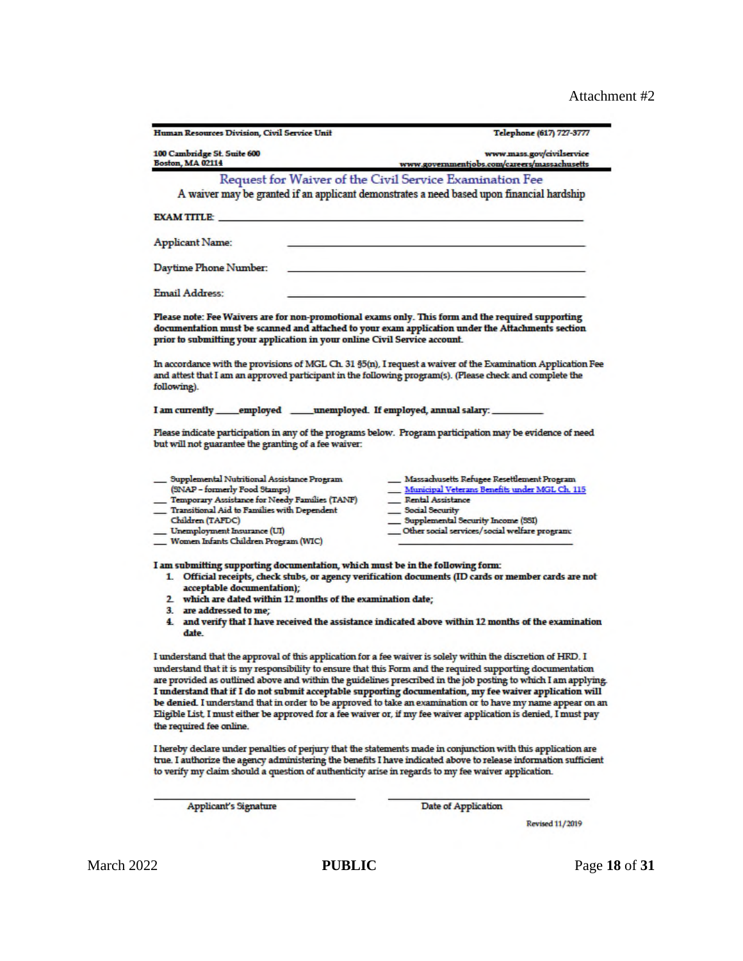| Human Resources Division, Civil Service Unit                                                                                                                                                                                                                                          | Telephone (617) 727-3777                                                                                                                                                                                                                                                                                                                                                                                                                                      |
|---------------------------------------------------------------------------------------------------------------------------------------------------------------------------------------------------------------------------------------------------------------------------------------|---------------------------------------------------------------------------------------------------------------------------------------------------------------------------------------------------------------------------------------------------------------------------------------------------------------------------------------------------------------------------------------------------------------------------------------------------------------|
| 100 Cambridge St. Suite 600                                                                                                                                                                                                                                                           | www.mass.gov/civilservice                                                                                                                                                                                                                                                                                                                                                                                                                                     |
| <b>Boston, MA 02114</b>                                                                                                                                                                                                                                                               | www.governmentjobs.com/careers/massachusetts                                                                                                                                                                                                                                                                                                                                                                                                                  |
|                                                                                                                                                                                                                                                                                       | Request for Waiver of the Civil Service Examination Fee                                                                                                                                                                                                                                                                                                                                                                                                       |
|                                                                                                                                                                                                                                                                                       | A waiver may be granted if an applicant demonstrates a need based upon financial hardship                                                                                                                                                                                                                                                                                                                                                                     |
| <b>EXAM TITLE:</b>                                                                                                                                                                                                                                                                    |                                                                                                                                                                                                                                                                                                                                                                                                                                                               |
| <b>Applicant Name:</b>                                                                                                                                                                                                                                                                |                                                                                                                                                                                                                                                                                                                                                                                                                                                               |
| Daytime Phone Number:                                                                                                                                                                                                                                                                 |                                                                                                                                                                                                                                                                                                                                                                                                                                                               |
| Email Address:                                                                                                                                                                                                                                                                        |                                                                                                                                                                                                                                                                                                                                                                                                                                                               |
| Please note: Fee Waivers are for non-promotional exams only. This form and the required supporting<br>documentation must be scanned and attached to your exam application under the Attachments section<br>prior to submitting your application in your online Civil Service account. |                                                                                                                                                                                                                                                                                                                                                                                                                                                               |
| and attest that I am an approved participant in the following program(s). (Please check and complete the<br>following).                                                                                                                                                               | In accordance with the provisions of MGL Ch. 31 §5(n), I request a waiver of the Examination Application Fee                                                                                                                                                                                                                                                                                                                                                  |
| I am currently ______employed _______unemployed. If employed, annual salary: __                                                                                                                                                                                                       |                                                                                                                                                                                                                                                                                                                                                                                                                                                               |
| Please indicate participation in any of the programs below. Program participation may be evidence of need<br>but will not guarantee the granting of a fee waiver:                                                                                                                     |                                                                                                                                                                                                                                                                                                                                                                                                                                                               |
| __ Supplemental Nutritional Assistance Program<br>(SNAP - formerly Food Stamps)                                                                                                                                                                                                       | __ Massachusetts Refugee Resettlement Program<br>Municipal Veterans Benefits under MGL Ch. 115                                                                                                                                                                                                                                                                                                                                                                |
| Temporary Assistance for Needy Families (TANF)                                                                                                                                                                                                                                        | Rental Assistance                                                                                                                                                                                                                                                                                                                                                                                                                                             |
| Transitional Aid to Families with Dependent                                                                                                                                                                                                                                           | Social Security                                                                                                                                                                                                                                                                                                                                                                                                                                               |
| Children (TAFDC)                                                                                                                                                                                                                                                                      | Supplemental Security Income (SSI)                                                                                                                                                                                                                                                                                                                                                                                                                            |
| _ Unemployment Insurance (UI)<br>Women Infants Children Program (WIC)                                                                                                                                                                                                                 | Other social services/social welfare program:                                                                                                                                                                                                                                                                                                                                                                                                                 |
| I am submitting supporting documentation, which must be in the following form:                                                                                                                                                                                                        |                                                                                                                                                                                                                                                                                                                                                                                                                                                               |
| acceptable documentation);                                                                                                                                                                                                                                                            | 1. Official receipts, check stubs, or agency verification documents (ID cards or member cards are not                                                                                                                                                                                                                                                                                                                                                         |
| 2 which are dated within 12 months of the examination date;                                                                                                                                                                                                                           |                                                                                                                                                                                                                                                                                                                                                                                                                                                               |
| 3. are addressed to me;<br>date.                                                                                                                                                                                                                                                      | 4. and verify that I have received the assistance indicated above within 12 months of the examination                                                                                                                                                                                                                                                                                                                                                         |
| I understand that the approval of this application for a fee waiver is solely within the discretion of HRD. I<br>understand that it is my responsibility to ensure that this Form and the required supporting documentation<br>the required fee online.                               | are provided as outlined above and within the guidelines prescribed in the job posting to which I am applying.<br>I understand that if I do not submit acceptable supporting documentation, my fee waiver application will<br>be denied. I understand that in order to be approved to take an examination or to have my name appear on an<br>Eligible List, I must either be approved for a fee waiver or, if my fee waiver application is denied, I must pay |
|                                                                                                                                                                                                                                                                                       |                                                                                                                                                                                                                                                                                                                                                                                                                                                               |

I hereby declare under penalties of perjury that the statements made in conjunction with this application are true. I authorize the agency administering the benefits I have indicated above to release information sufficien

Applicant's Signature

Date of Application

**Revised 11/2019**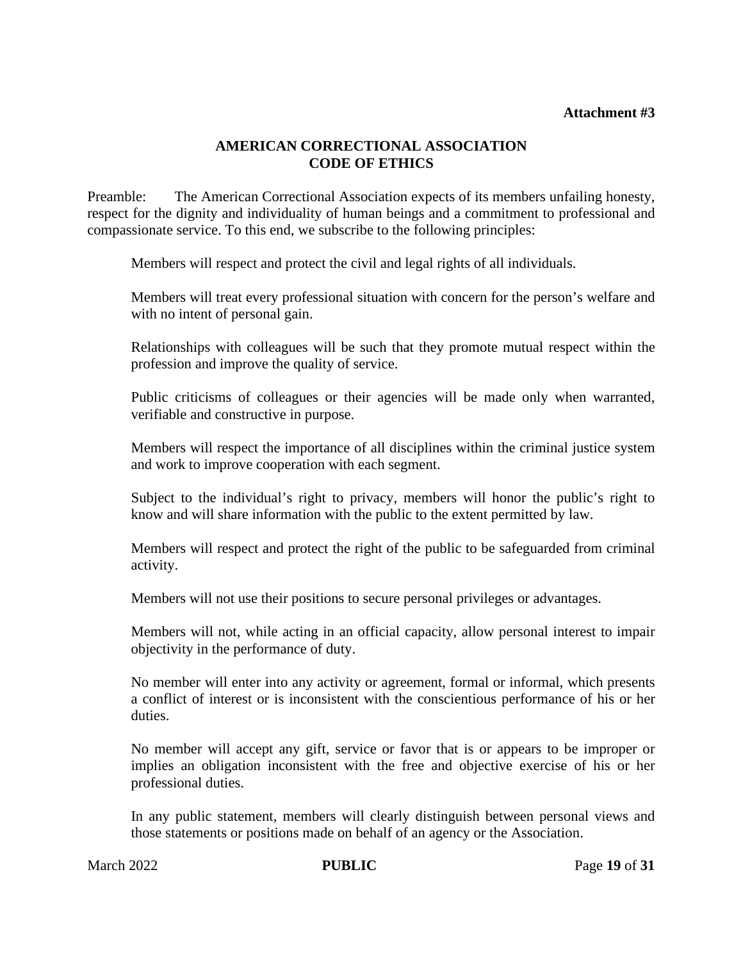#### **AMERICAN CORRECTIONAL ASSOCIATION CODE OF ETHICS**

Preamble: The American Correctional Association expects of its members unfailing honesty, respect for the dignity and individuality of human beings and a commitment to professional and compassionate service. To this end, we subscribe to the following principles:

Members will respect and protect the civil and legal rights of all individuals.

Members will treat every professional situation with concern for the person's welfare and with no intent of personal gain.

Relationships with colleagues will be such that they promote mutual respect within the profession and improve the quality of service.

Public criticisms of colleagues or their agencies will be made only when warranted, verifiable and constructive in purpose.

Members will respect the importance of all disciplines within the criminal justice system and work to improve cooperation with each segment.

Subject to the individual's right to privacy, members will honor the public's right to know and will share information with the public to the extent permitted by law.

Members will respect and protect the right of the public to be safeguarded from criminal activity.

Members will not use their positions to secure personal privileges or advantages.

Members will not, while acting in an official capacity, allow personal interest to impair objectivity in the performance of duty.

No member will enter into any activity or agreement, formal or informal, which presents a conflict of interest or is inconsistent with the conscientious performance of his or her duties.

No member will accept any gift, service or favor that is or appears to be improper or implies an obligation inconsistent with the free and objective exercise of his or her professional duties.

In any public statement, members will clearly distinguish between personal views and those statements or positions made on behalf of an agency or the Association.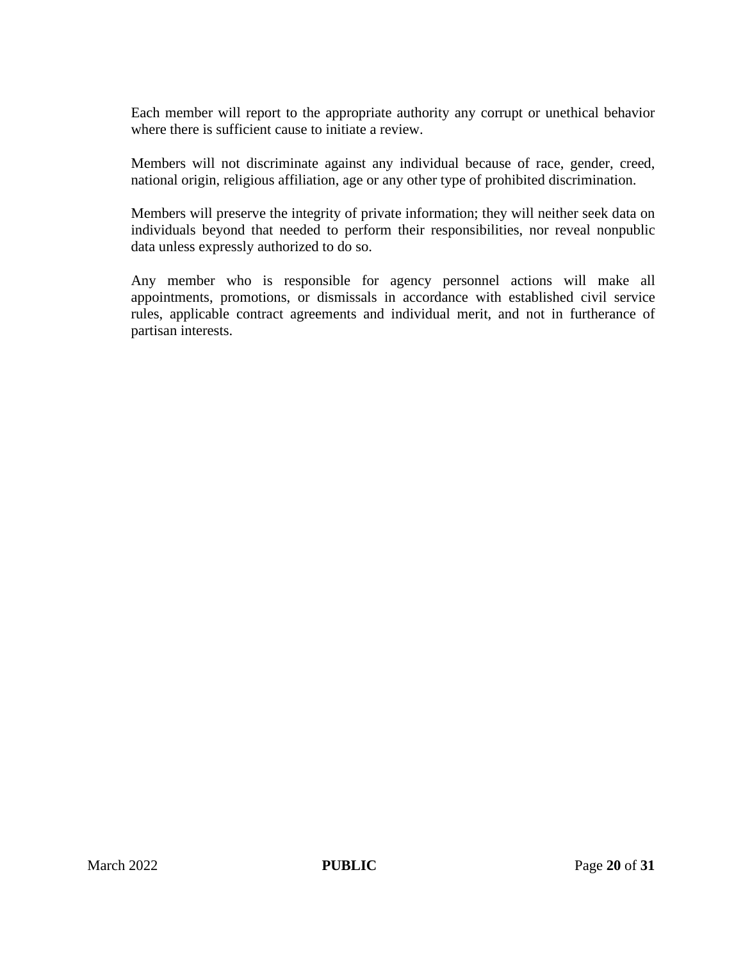Each member will report to the appropriate authority any corrupt or unethical behavior where there is sufficient cause to initiate a review.

Members will not discriminate against any individual because of race, gender, creed, national origin, religious affiliation, age or any other type of prohibited discrimination.

Members will preserve the integrity of private information; they will neither seek data on individuals beyond that needed to perform their responsibilities, nor reveal nonpublic data unless expressly authorized to do so.

Any member who is responsible for agency personnel actions will make all appointments, promotions, or dismissals in accordance with established civil service rules, applicable contract agreements and individual merit, and not in furtherance of partisan interests.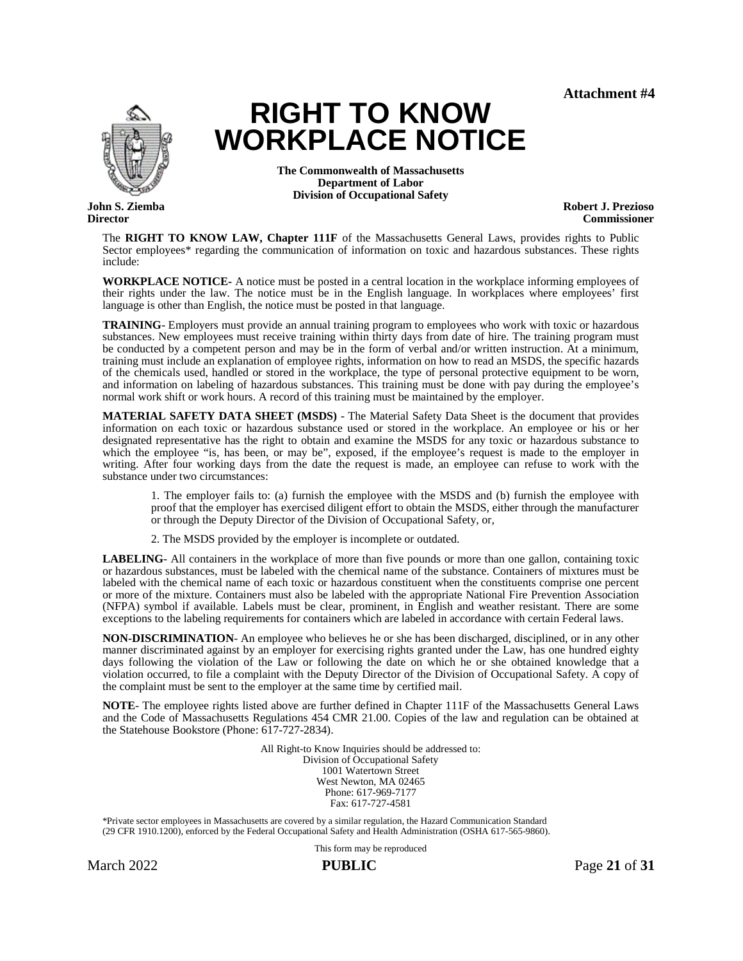

**Director**

**RIGHT TO KNOW WORKPLACE NOTICE**

> **The Commonwealth of Massachusetts Department of Labor Division of Occupational Safety**

**Robert J. Prezioso Commissioner**

The **RIGHT TO KNOW LAW, Chapter 111F** of the Massachusetts General Laws, provides rights to Public Sector employees\* regarding the communication of information on toxic and hazardous substances. These rights include:

**WORKPLACE NOTICE-** A notice must be posted in a central location in the workplace informing employees of their rights under the law. The notice must be in the English language. In workplaces where employees' first language is other than English, the notice must be posted in that language.

**TRAINING**- Employers must provide an annual training program to employees who work with toxic or hazardous substances. New employees must receive training within thirty days from date of hire. The training program must be conducted by a competent person and may be in the form of verbal and/or written instruction. At a minimum, training must include an explanation of employee rights, information on how to read an MSDS, the specific hazards of the chemicals used, handled or stored in the workplace, the type of personal protective equipment to be worn, and information on labeling of hazardous substances. This training must be done with pay during the employee's normal work shift or work hours. A record of this training must be maintained by the employer.

**MATERIAL SAFETY DATA SHEET (MSDS)** - The Material Safety Data Sheet is the document that provides information on each toxic or hazardous substance used or stored in the workplace. An employee or his or her designated representative has the right to obtain and examine the MSDS for any toxic or hazardous substance to which the employee "is, has been, or may be", exposed, if the employee's request is made to the employer in writing. After four working days from the date the request is made, an employee can refuse to work with the substance under two circumstances:

1. The employer fails to: (a) furnish the employee with the MSDS and (b) furnish the employee with proof that the employer has exercised diligent effort to obtain the MSDS, either through the manufacturer or through the Deputy Director of the Division of Occupational Safety, or,

2. The MSDS provided by the employer is incomplete or outdated.

**LABELING**- All containers in the workplace of more than five pounds or more than one gallon, containing toxic or hazardous substances, must be labeled with the chemical name of the substance. Containers of mixtures must be labeled with the chemical name of each toxic or hazardous constituent when the constituents comprise one percent or more of the mixture. Containers must also be labeled with the appropriate National Fire Prevention Association (NFPA) symbol if available. Labels must be clear, prominent, in English and weather resistant. There are some exceptions to the labeling requirements for containers which are labeled in accordance with certain Federal laws.

**NON-DISCRIMINATION**- An employee who believes he or she has been discharged, disciplined, or in any other manner discriminated against by an employer for exercising rights granted under the Law, has one hundred eighty days following the violation of the Law or following the date on which he or she obtained knowledge that a violation occurred, to file a complaint with the Deputy Director of the Division of Occupational Safety. A copy of the complaint must be sent to the employer at the same time by certified mail.

**NOTE**- The employee rights listed above are further defined in Chapter 111F of the Massachusetts General Laws and the Code of Massachusetts Regulations 454 CMR 21.00. Copies of the law and regulation can be obtained at the Statehouse Bookstore (Phone: 617-727-2834).

> All Right-to Know Inquiries should be addressed to: Division of Occupational Safety 1001 Watertown Street West Newton, MA 02465 Phone: 617-969-7177 Fax: 617-727-4581

\*Private sector employees in Massachusetts are covered by a similar regulation, the Hazard Communication Standard (29 CFR 1910.1200), enforced by the Federal Occupational Safety and Health Administration (OSHA 617-565-9860).

This form may be reproduced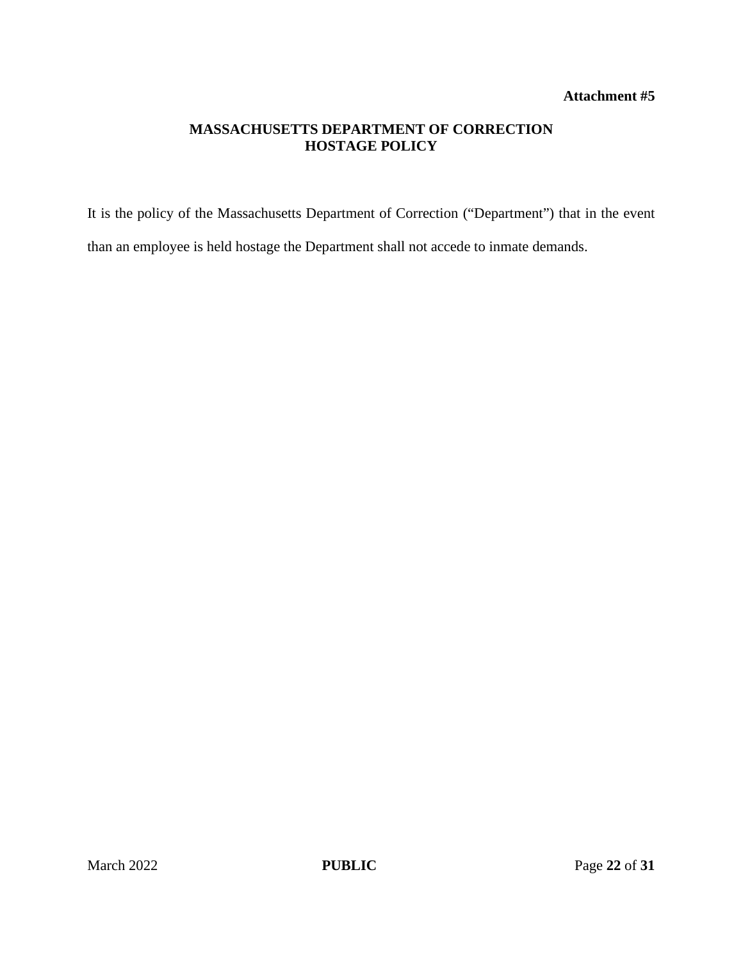#### **MASSACHUSETTS DEPARTMENT OF CORRECTION HOSTAGE POLICY**

It is the policy of the Massachusetts Department of Correction ("Department") that in the event than an employee is held hostage the Department shall not accede to inmate demands.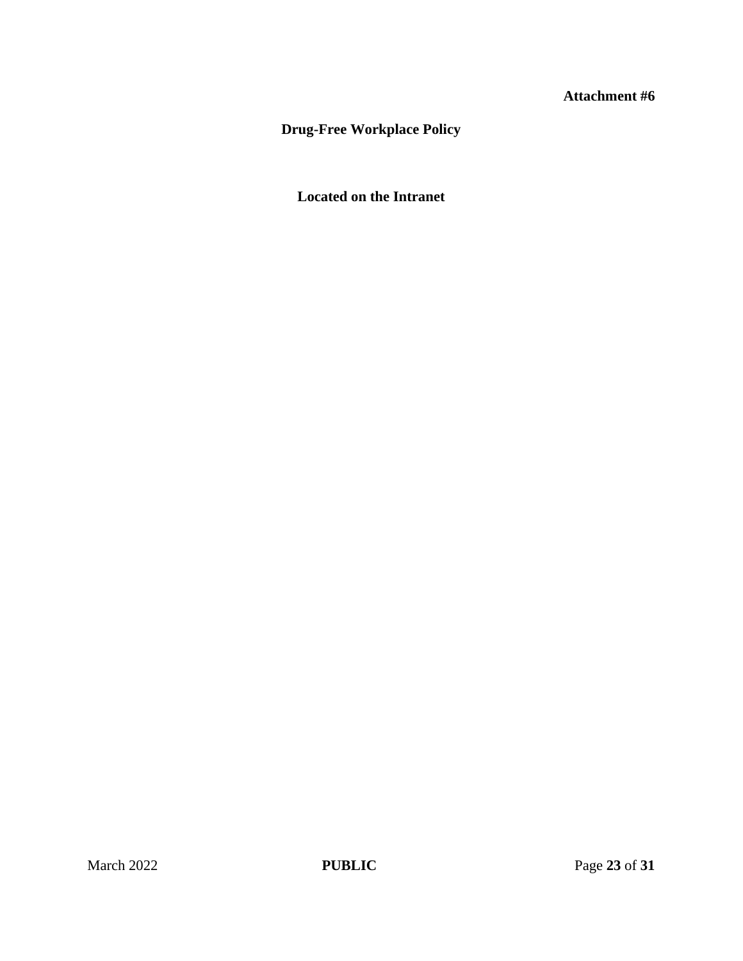# **Drug-Free Workplace Policy**

# **Located on the Intranet**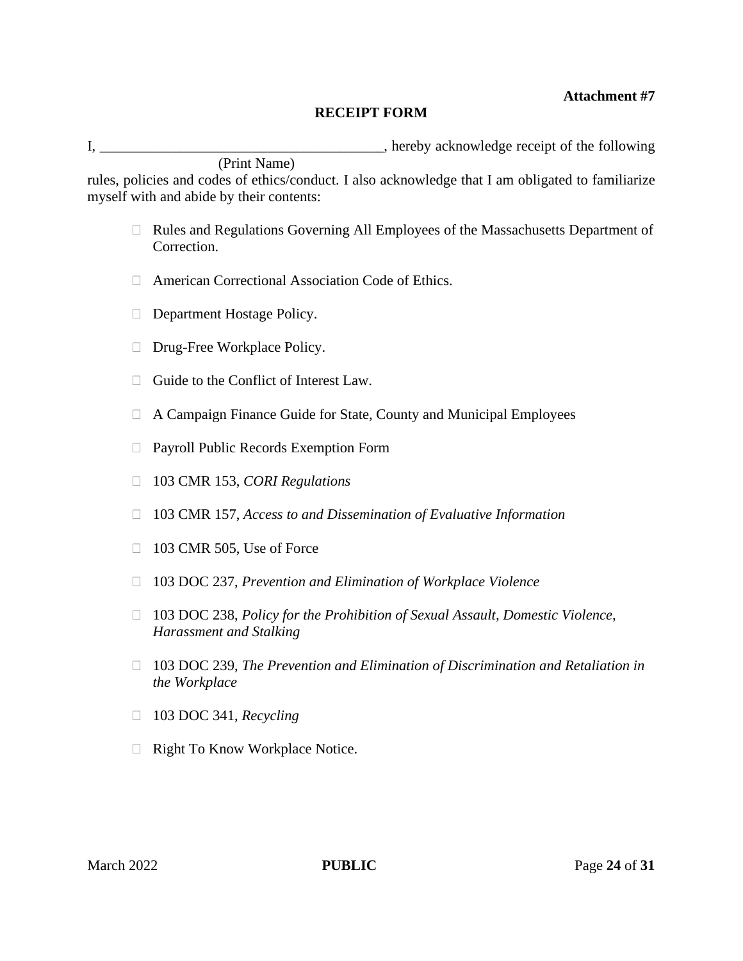#### **RECEIPT FORM**

I, \_\_\_\_\_\_\_\_\_\_\_\_\_\_\_\_\_\_\_\_\_\_\_\_\_\_\_\_\_\_\_\_\_\_\_\_\_\_\_, hereby acknowledge receipt of the following (Print Name)

rules, policies and codes of ethics/conduct. I also acknowledge that I am obligated to familiarize myself with and abide by their contents:

- Rules and Regulations Governing All Employees of the Massachusetts Department of Correction.
- American Correctional Association Code of Ethics.
- Department Hostage Policy.
- $\Box$  Drug-Free Workplace Policy.
- $\Box$  Guide to the Conflict of Interest Law.
- A Campaign Finance Guide for State, County and Municipal Employees
- □ Payroll Public Records Exemption Form
- 103 CMR 153, *CORI Regulations*
- 103 CMR 157, *Access to and Dissemination of Evaluative Information*
- $\Box$  103 CMR 505, Use of Force
- 103 DOC 237, *Prevention and Elimination of Workplace Violence*
- 103 DOC 238, *Policy for the Prohibition of Sexual Assault, Domestic Violence, Harassment and Stalking*
- 103 DOC 239, *The Prevention and Elimination of Discrimination and Retaliation in the Workplace*
- □ 103 DOC 341, *Recycling*
- $\Box$  Right To Know Workplace Notice.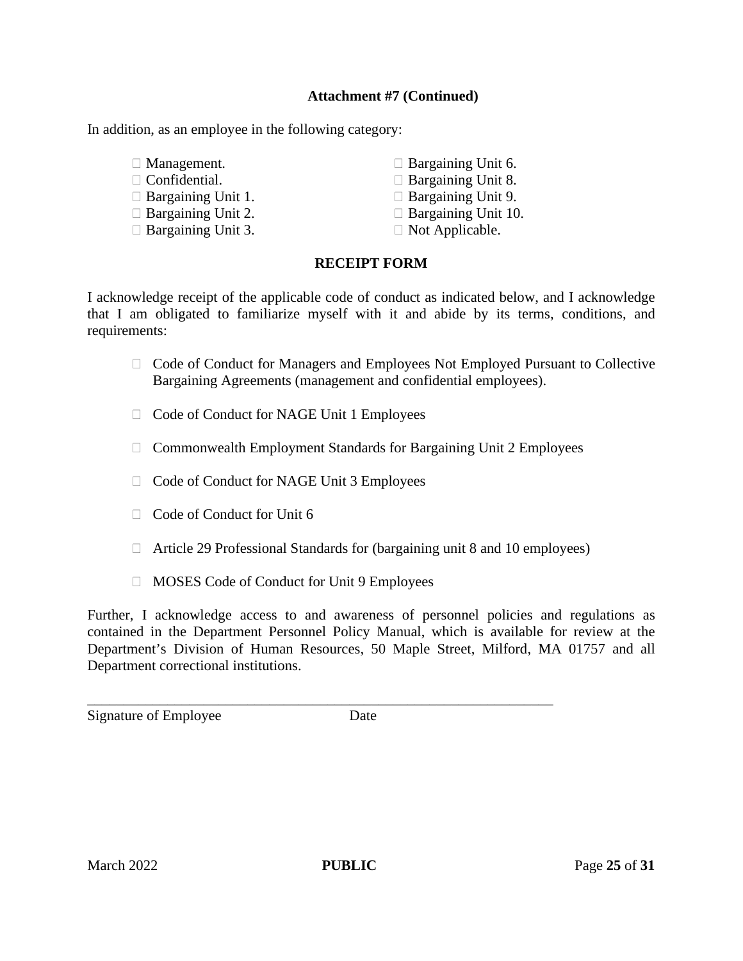#### **Attachment #7 (Continued)**

In addition, as an employee in the following category:

- 
- $\Box$  Confidential.  $\Box$  Bargaining Unit 8.
- $\Box$  Bargaining Unit 1.  $\Box$  Bargaining Unit 9.
- $\Box$  Bargaining Unit 2.  $\Box$  Bargaining Unit 10.
- $\Box$  Bargaining Unit 3.  $\Box$  Not Applicable.

 $\Box$  Management.  $\Box$  Bargaining Unit 6.

- 
- 
- 
- 

### **RECEIPT FORM**

I acknowledge receipt of the applicable code of conduct as indicated below, and I acknowledge that I am obligated to familiarize myself with it and abide by its terms, conditions, and requirements:

- $\Box$  Code of Conduct for Managers and Employees Not Employed Pursuant to Collective Bargaining Agreements (management and confidential employees).
- □ Code of Conduct for NAGE Unit 1 Employees
- $\Box$  Commonwealth Employment Standards for Bargaining Unit 2 Employees
- □ Code of Conduct for NAGE Unit 3 Employees
- $\Box$  Code of Conduct for Unit 6
- $\Box$  Article 29 Professional Standards for (bargaining unit 8 and 10 employees)
- $\Box$  MOSES Code of Conduct for Unit 9 Employees

Further, I acknowledge access to and awareness of personnel policies and regulations as contained in the Department Personnel Policy Manual, which is available for review at the Department's Division of Human Resources, 50 Maple Street, Milford, MA 01757 and all Department correctional institutions.

Signature of Employee Date

\_\_\_\_\_\_\_\_\_\_\_\_\_\_\_\_\_\_\_\_\_\_\_\_\_\_\_\_\_\_\_\_\_\_\_\_\_\_\_\_\_\_\_\_\_\_\_\_\_\_\_\_\_\_\_\_\_\_\_\_\_\_\_\_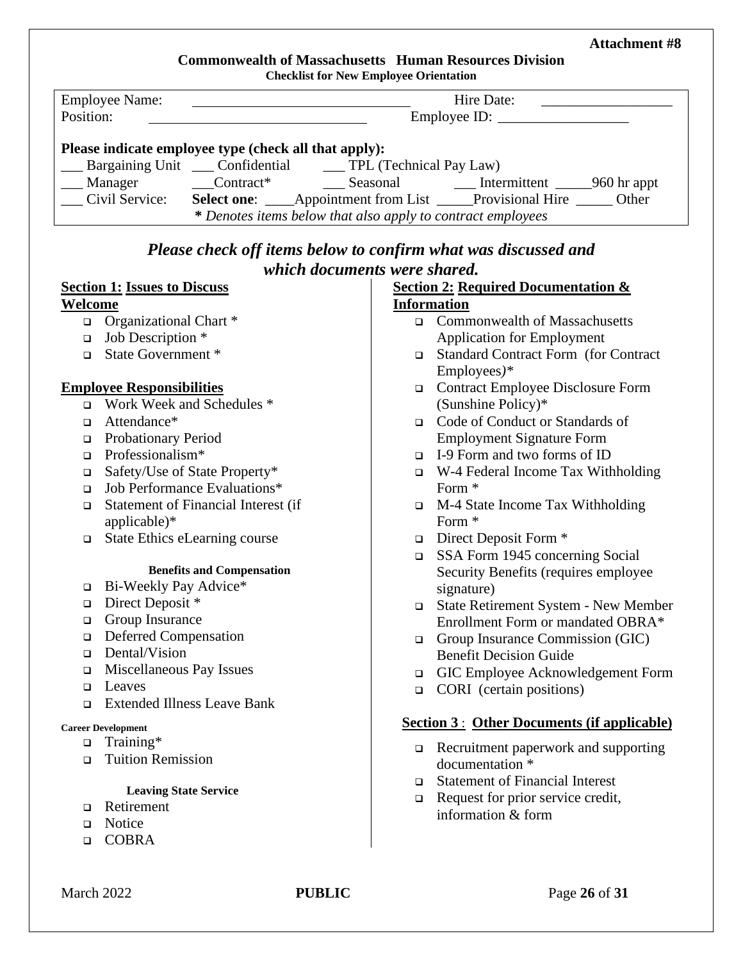# **Commonwealth of Massachusetts Human Resources Division**

| <b>Checklist for New Employee Orientation</b> |
|-----------------------------------------------|
|-----------------------------------------------|

| <b>Employee Name:</b><br>Hire Date:                                                                        |  |  |                                                                         |  |  |
|------------------------------------------------------------------------------------------------------------|--|--|-------------------------------------------------------------------------|--|--|
| Position:                                                                                                  |  |  | Employee ID:                                                            |  |  |
| Please indicate employee type (check all that apply):<br>Bargaining Unit Confidential Confidential Bay Law |  |  |                                                                         |  |  |
| ___ Manager                                                                                                |  |  |                                                                         |  |  |
| Civil Service:                                                                                             |  |  | Select one: ____Appointment from List ____Provisional Hire ______ Other |  |  |
| * Denotes items below that also apply to contract employees                                                |  |  |                                                                         |  |  |

# *Please check off items below to confirm what was discussed and which documents were shared.*

| <b>Section 2: Required Documentation &amp;</b><br><b>Section 1: Issues to Discuss</b> |                                     |               |                                                                |  |  |
|---------------------------------------------------------------------------------------|-------------------------------------|---------------|----------------------------------------------------------------|--|--|
| Welcome                                                                               |                                     |               | <b>Information</b>                                             |  |  |
|                                                                                       | $\Box$ Organizational Chart *       |               | □ Commonwealth of Massachusetts                                |  |  |
| $\Box$                                                                                | Job Description *                   |               | <b>Application for Employment</b>                              |  |  |
| $\Box$                                                                                | State Government *                  |               | □ Standard Contract Form (for Contract                         |  |  |
|                                                                                       |                                     |               | Employees)*                                                    |  |  |
|                                                                                       | <b>Employee Responsibilities</b>    |               | □ Contract Employee Disclosure Form                            |  |  |
|                                                                                       | Work Week and Schedules *           |               | (Sunshine Policy)*                                             |  |  |
| $\Box$                                                                                | Attendance*                         |               | □ Code of Conduct or Standards of                              |  |  |
| $\Box$                                                                                | <b>Probationary Period</b>          |               | <b>Employment Signature Form</b>                               |  |  |
| $\Box$                                                                                | Professionalism*                    | $\Box$        | I-9 Form and two forms of ID                                   |  |  |
| $\Box$                                                                                | Safety/Use of State Property*       | $\Box$        | W-4 Federal Income Tax Withholding                             |  |  |
| $\Box$                                                                                | Job Performance Evaluations*        |               | Form *                                                         |  |  |
| о                                                                                     | Statement of Financial Interest (if | $\Box$        | M-4 State Income Tax Withholding                               |  |  |
|                                                                                       | applicable)*                        |               | Form *                                                         |  |  |
| $\Box$                                                                                | State Ethics eLearning course       |               | $\Box$ Direct Deposit Form $*$                                 |  |  |
|                                                                                       |                                     | $\Box$        | SSA Form 1945 concerning Social                                |  |  |
|                                                                                       | <b>Benefits and Compensation</b>    |               | Security Benefits (requires employee                           |  |  |
| □                                                                                     | Bi-Weekly Pay Advice*               |               | signature)                                                     |  |  |
| □                                                                                     | Direct Deposit *                    |               | □ State Retirement System - New Member                         |  |  |
| □                                                                                     | Group Insurance                     |               | Enrollment Form or mandated OBRA*                              |  |  |
| $\Box$                                                                                | <b>Deferred Compensation</b>        |               | Group Insurance Commission (GIC)                               |  |  |
| $\Box$                                                                                | Dental/Vision                       |               | <b>Benefit Decision Guide</b>                                  |  |  |
| $\Box$                                                                                | Miscellaneous Pay Issues            |               | GIC Employee Acknowledgement Form                              |  |  |
| $\Box$                                                                                | Leaves                              |               | $\Box$ CORI (certain positions)                                |  |  |
| $\Box$                                                                                | <b>Extended Illness Leave Bank</b>  |               |                                                                |  |  |
|                                                                                       | <b>Career Development</b>           |               | <b>Section 3: Other Documents (if applicable)</b>              |  |  |
| $\Box$                                                                                | Training*                           |               |                                                                |  |  |
| $\Box$                                                                                | <b>Tuition Remission</b>            |               | $\Box$ Recruitment paperwork and supporting<br>documentation * |  |  |
|                                                                                       |                                     | $\Box$        | <b>Statement of Financial Interest</b>                         |  |  |
|                                                                                       | <b>Leaving State Service</b>        | $\Box$        | Request for prior service credit,                              |  |  |
| □                                                                                     | Retirement                          |               | information & form                                             |  |  |
| $\Box$                                                                                | Notice                              |               |                                                                |  |  |
| $\Box$                                                                                | <b>COBRA</b>                        |               |                                                                |  |  |
|                                                                                       |                                     |               |                                                                |  |  |
|                                                                                       |                                     |               |                                                                |  |  |
| March 2022                                                                            |                                     | <b>PUBLIC</b> | Page 26 of 31                                                  |  |  |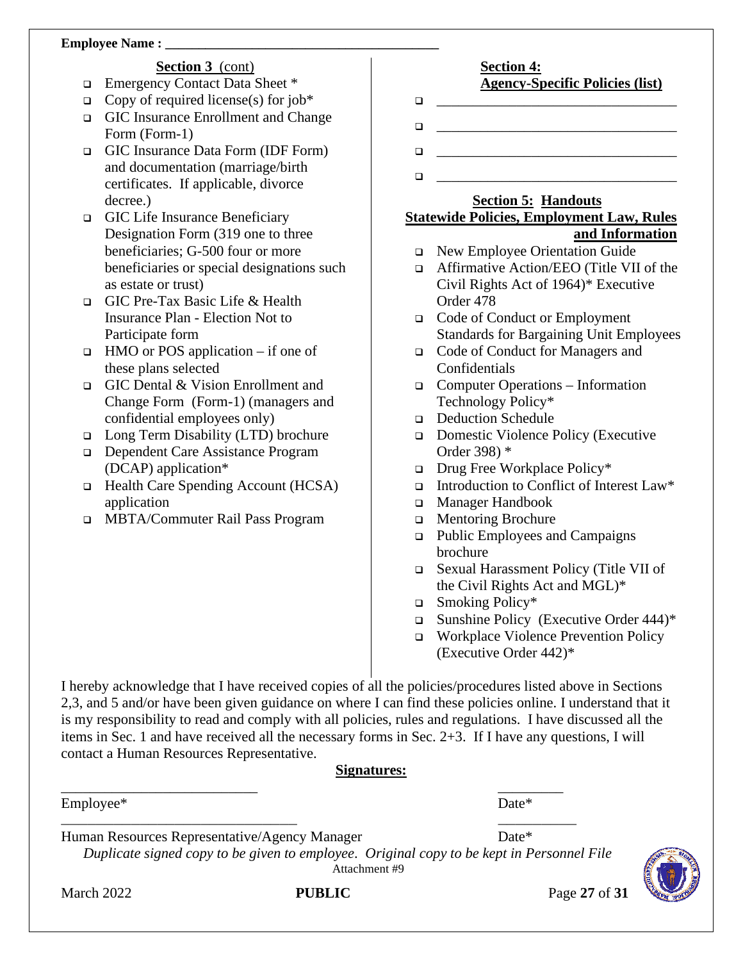#### **Employee Name :**

#### **Section 3** (cont)

- Emergency Contact Data Sheet \*
- $\Box$  Copy of required license(s) for job\*
- GIC Insurance Enrollment and Change Form (Form-1)
- GIC Insurance Data Form (IDF Form) and documentation (marriage/birth certificates. If applicable, divorce decree.)
- GIC Life Insurance Beneficiary Designation Form (319 one to three beneficiaries; G-500 four or more beneficiaries or special designations such as estate or trust)
- GIC Pre-Tax Basic Life & Health Insurance Plan - Election Not to Participate form
- $\Box$  HMO or POS application if one of these plans selected
- GIC Dental & Vision Enrollment and Change Form (Form-1) (managers and confidential employees only)
- Long Term Disability (LTD) brochure
- □ Dependent Care Assistance Program (DCAP) application\*
- $\Box$  Health Care Spending Account (HCSA) application
- MBTA/Commuter Rail Pass Program

#### **Section 4: Agency-Specific Policies (list)**

- \_\_\_\_\_\_\_\_\_\_\_\_\_\_\_\_\_\_\_\_\_\_\_\_\_\_\_\_\_\_\_\_\_
- \_\_\_\_\_\_\_\_\_\_\_\_\_\_\_\_\_\_\_\_\_\_\_\_\_\_\_\_\_\_\_\_\_

\_\_\_\_\_\_\_\_\_\_\_\_\_\_\_\_\_\_\_\_\_\_\_\_\_\_\_\_\_\_\_\_\_

\_\_\_\_\_\_\_\_\_\_\_\_\_\_\_\_\_\_\_\_\_\_\_\_\_\_\_\_\_\_\_\_\_

#### **Section 5: Handouts Statewide Policies, Employment Law, Rules and Information**

- New Employee Orientation Guide
- □ Affirmative Action/EEO (Title VII of the Civil Rights Act of 1964)\* Executive Order 478
- Code of Conduct or Employment Standards for Bargaining Unit Employees
- Code of Conduct for Managers and Confidentials
- Computer Operations Information Technology Policy\*
- Deduction Schedule
- □ Domestic Violence Policy (Executive Order 398) \*
- $\Box$  Drug Free Workplace Policy\*
- Introduction to Conflict of Interest Law\*
- Manager Handbook
- **In Mentoring Brochure**
- □ Public Employees and Campaigns brochure
- Sexual Harassment Policy (Title VII of the Civil Rights Act and MGL)\*
- $\Box$  Smoking Policy\*
- $\Box$  Sunshine Policy (Executive Order 444)\*
- Workplace Violence Prevention Policy (Executive Order 442)\*

I hereby acknowledge that I have received copies of all the policies/procedures listed above in Sections 2,3, and 5 and/or have been given guidance on where I can find these policies online. I understand that it is my responsibility to read and comply with all policies, rules and regulations. I have discussed all the items in Sec. 1 and have received all the necessary forms in Sec. 2+3. If I have any questions, I will contact a Human Resources Representative.

#### **Signatures:**

Employee\* Date\*

Human Resources Representative/Agency Manager Date\*

*Duplicate signed copy to be given to employee*. *Original copy to be kept in Personnel File* Attachment #9



 $\overline{\phantom{a}}$  , and the contract of the contract of the contract of the contract of the contract of the contract of the contract of the contract of the contract of the contract of the contract of the contract of the contrac

\_\_\_\_\_\_\_\_\_\_\_\_\_\_\_\_\_\_\_\_\_\_\_\_\_\_\_ \_\_\_\_\_\_\_\_\_

March 2022 **PUBLIC** Page 27 of 31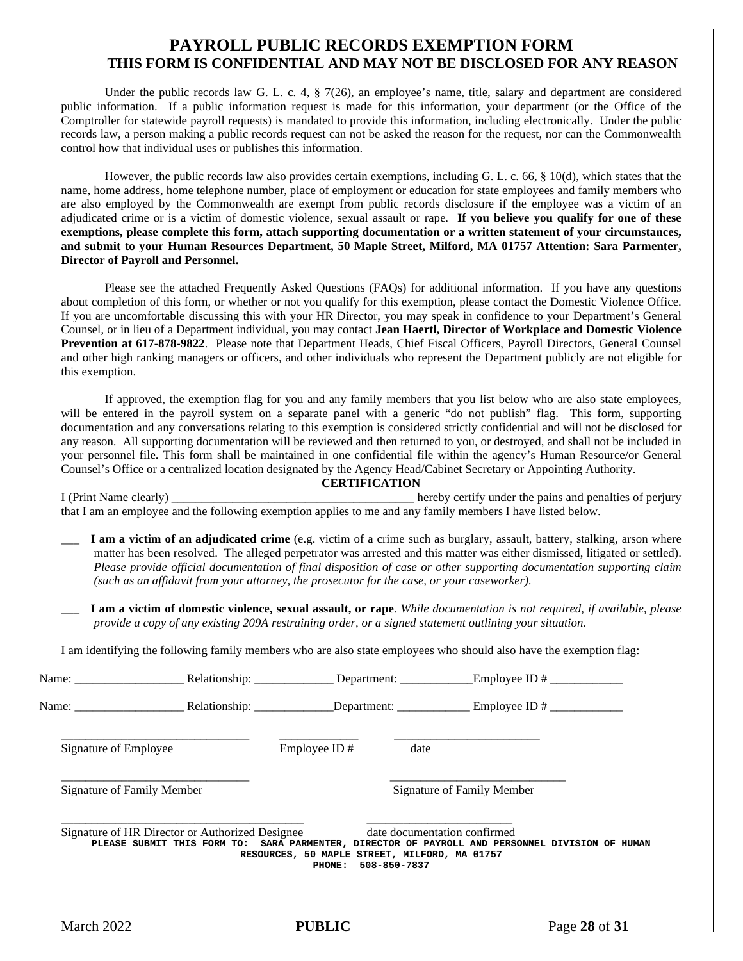#### **PAYROLL PUBLIC RECORDS EXEMPTION FORM THIS FORM IS CONFIDENTIAL AND MAY NOT BE DISCLOSED FOR ANY REASON**

Under the public records law G. L. c. 4, § 7(26), an employee's name, title, salary and department are considered public information. If a public information request is made for this information, your department (or the Office of the Comptroller for statewide payroll requests) is mandated to provide this information, including electronically. Under the public records law, a person making a public records request can not be asked the reason for the request, nor can the Commonwealth control how that individual uses or publishes this information.

However, the public records law also provides certain exemptions, including G. L. c. 66, § 10(d), which states that the name, home address, home telephone number, place of employment or education for state employees and family members who are also employed by the Commonwealth are exempt from public records disclosure if the employee was a victim of an adjudicated crime or is a victim of domestic violence, sexual assault or rape. **If you believe you qualify for one of these exemptions, please complete this form, attach supporting documentation or a written statement of your circumstances, and submit to your Human Resources Department, 50 Maple Street, Milford, MA 01757 Attention: Sara Parmenter, Director of Payroll and Personnel.**

Please see the attached Frequently Asked Questions (FAQs) for additional information. If you have any questions about completion of this form, or whether or not you qualify for this exemption, please contact the Domestic Violence Office. If you are uncomfortable discussing this with your HR Director, you may speak in confidence to your Department's General Counsel, or in lieu of a Department individual, you may contact **Jean Haertl, Director of Workplace and Domestic Violence Prevention at 617-878-9822**. Please note that Department Heads, Chief Fiscal Officers, Payroll Directors, General Counsel and other high ranking managers or officers, and other individuals who represent the Department publicly are not eligible for this exemption.

If approved, the exemption flag for you and any family members that you list below who are also state employees, will be entered in the payroll system on a separate panel with a generic "do not publish" flag. This form, supporting documentation and any conversations relating to this exemption is considered strictly confidential and will not be disclosed for any reason*.* All supporting documentation will be reviewed and then returned to you, or destroyed, and shall not be included in your personnel file. This form shall be maintained in one confidential file within the agency's Human Resource/or General Counsel's Office or a centralized location designated by the Agency Head/Cabinet Secretary or Appointing Authority. **CERTIFICATION**

I (Print Name clearly) \_\_\_\_\_\_\_\_\_\_\_\_\_\_\_\_\_\_\_\_\_\_\_\_\_\_\_\_\_\_\_\_\_\_\_\_\_\_\_\_ hereby certify under the pains and penalties of perjury that I am an employee and the following exemption applies to me and any family members I have listed below.

- \_\_\_ **I am a victim of an adjudicated crime** (e.g. victim of a crime such as burglary, assault, battery, stalking, arson where matter has been resolved. The alleged perpetrator was arrested and this matter was either dismissed, litigated or settled). *Please provide official documentation of final disposition of case or other supporting documentation supporting claim (such as an affidavit from your attorney, the prosecutor for the case, or your caseworker).*
- \_\_\_ **I am a victim of domestic violence, sexual assault, or rape**. *While documentation is not required, if available*, *please provide a copy of any existing 209A restraining order, or a signed statement outlining your situation.*

I am identifying the following family members who are also state employees who should also have the exemption flag:

|                                   |                                                 |                                                                      |                              | Name: Relationship: Department: Employee ID #                                                   |               |
|-----------------------------------|-------------------------------------------------|----------------------------------------------------------------------|------------------------------|-------------------------------------------------------------------------------------------------|---------------|
|                                   |                                                 |                                                                      |                              | Name: Relationship: Department: Employee ID #                                                   |               |
| Signature of Employee             |                                                 | Employee ID#                                                         | date                         |                                                                                                 |               |
| <b>Signature of Family Member</b> |                                                 |                                                                      |                              | Signature of Family Member                                                                      |               |
|                                   | Signature of HR Director or Authorized Designee | RESOURCES, 50 MAPLE STREET, MILFORD, MA 01757<br>PHONE: 508-850-7837 | date documentation confirmed | PLEASE SUBMIT THIS FORM TO: SARA PARMENTER, DIRECTOR OF PAYROLL AND PERSONNEL DIVISION OF HUMAN |               |
| <b>March 2022</b>                 |                                                 | <b>PUBLIC</b>                                                        |                              |                                                                                                 | Page 28 of 31 |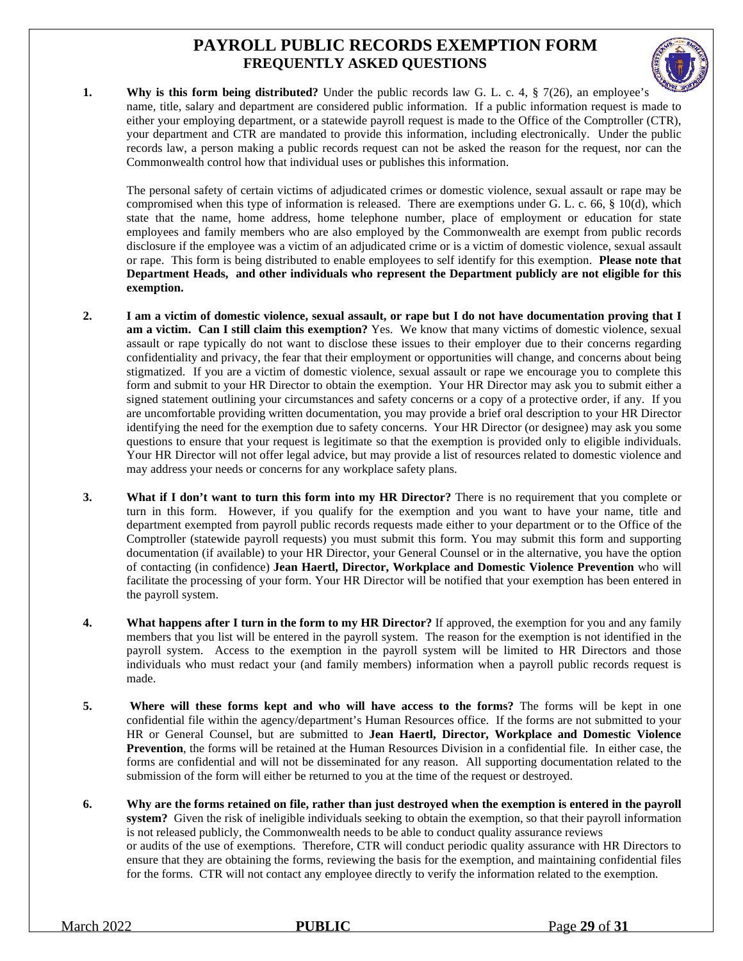# **PAYROLL PUBLIC RECORDS EXEMPTION FORM FREQUENTLY ASKED QUESTIONS**



**1. Why is this form being distributed?** Under the public records law G. L. c. 4, § 7(26), an employee's name, title, salary and department are considered public information. If a public information request is made to either your employing department, or a statewide payroll request is made to the Office of the Comptroller (CTR), your department and CTR are mandated to provide this information, including electronically. Under the public records law, a person making a public records request can not be asked the reason for the request, nor can the Commonwealth control how that individual uses or publishes this information.

The personal safety of certain victims of adjudicated crimes or domestic violence, sexual assault or rape may be compromised when this type of information is released. There are exemptions under G. L. c. 66, § 10(d), which state that the name, home address, home telephone number, place of employment or education for state employees and family members who are also employed by the Commonwealth are exempt from public records disclosure if the employee was a victim of an adjudicated crime or is a victim of domestic violence, sexual assault or rape. This form is being distributed to enable employees to self identify for this exemption. **Please note that Department Heads, and other individuals who represent the Department publicly are not eligible for this exemption.**

- **2. I am a victim of domestic violence, sexual assault, or rape but I do not have documentation proving that I am a victim. Can I still claim this exemption?** Yes. We know that many victims of domestic violence, sexual assault or rape typically do not want to disclose these issues to their employer due to their concerns regarding confidentiality and privacy, the fear that their employment or opportunities will change, and concerns about being stigmatized. If you are a victim of domestic violence, sexual assault or rape we encourage you to complete this form and submit to your HR Director to obtain the exemption. Your HR Director may ask you to submit either a signed statement outlining your circumstances and safety concerns or a copy of a protective order, if any. If you are uncomfortable providing written documentation, you may provide a brief oral description to your HR Director identifying the need for the exemption due to safety concerns. Your HR Director (or designee) may ask you some questions to ensure that your request is legitimate so that the exemption is provided only to eligible individuals. Your HR Director will not offer legal advice, but may provide a list of resources related to domestic violence and may address your needs or concerns for any workplace safety plans.
- **3. What if I don't want to turn this form into my HR Director?** There is no requirement that you complete or turn in this form. However, if you qualify for the exemption and you want to have your name, title and department exempted from payroll public records requests made either to your department or to the Office of the Comptroller (statewide payroll requests) you must submit this form. You may submit this form and supporting documentation (if available) to your HR Director, your General Counsel or in the alternative, you have the option of contacting (in confidence) **Jean Haertl, Director, Workplace and Domestic Violence Prevention** who will facilitate the processing of your form. Your HR Director will be notified that your exemption has been entered in the payroll system.
- **4. What happens after I turn in the form to my HR Director?** If approved, the exemption for you and any family members that you list will be entered in the payroll system. The reason for the exemption is not identified in the payroll system. Access to the exemption in the payroll system will be limited to HR Directors and those individuals who must redact your (and family members) information when a payroll public records request is made.
- **5. Where will these forms kept and who will have access to the forms?** The forms will be kept in one confidential file within the agency/department's Human Resources office. If the forms are not submitted to your HR or General Counsel, but are submitted to **Jean Haertl, Director, Workplace and Domestic Violence Prevention**, the forms will be retained at the Human Resources Division in a confidential file. In either case, the forms are confidential and will not be disseminated for any reason. All supporting documentation related to the submission of the form will either be returned to you at the time of the request or destroyed.
- **6. Why are the forms retained on file, rather than just destroyed when the exemption is entered in the payroll system?** Given the risk of ineligible individuals seeking to obtain the exemption, so that their payroll information is not released publicly, the Commonwealth needs to be able to conduct quality assurance reviews or audits of the use of exemptions. Therefore, CTR will conduct periodic quality assurance with HR Directors to ensure that they are obtaining the forms, reviewing the basis for the exemption, and maintaining confidential files for the forms. CTR will not contact any employee directly to verify the information related to the exemption.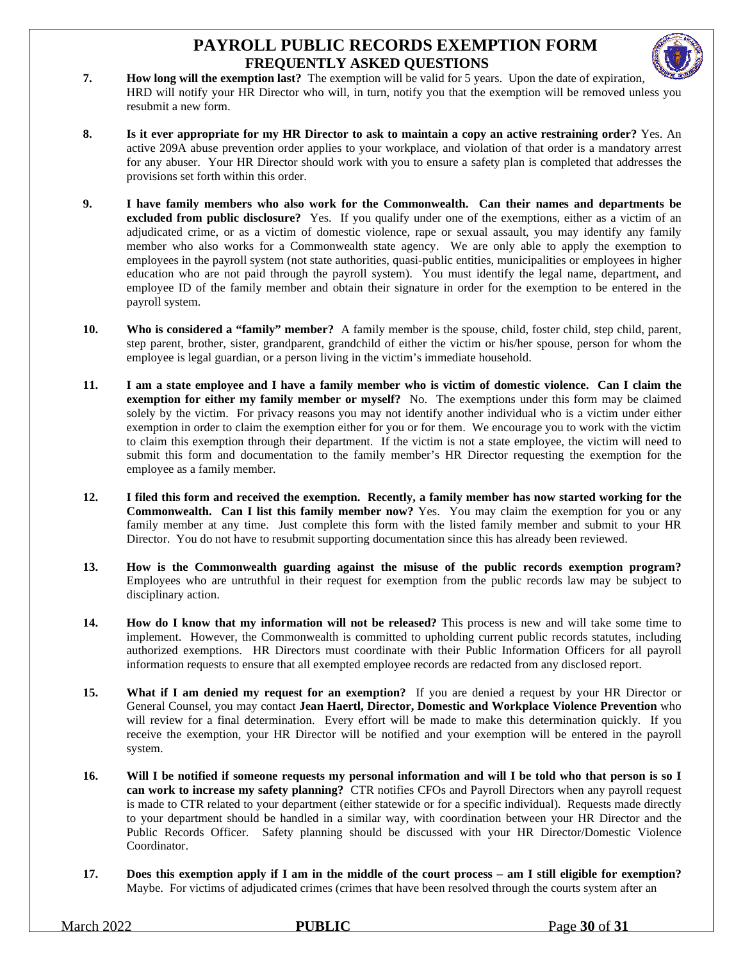# **PAYROLL PUBLIC RECORDS EXEMPTION FORM FREQUENTLY ASKED QUESTIONS**



- **7. How long will the exemption last?** The exemption will be valid for 5 years. Upon the date of expiration, HRD will notify your HR Director who will, in turn, notify you that the exemption will be removed unless you resubmit a new form.
- **8. Is it ever appropriate for my HR Director to ask to maintain a copy an active restraining order?** Yes. An active 209A abuse prevention order applies to your workplace, and violation of that order is a mandatory arrest for any abuser. Your HR Director should work with you to ensure a safety plan is completed that addresses the provisions set forth within this order.
- **9. I have family members who also work for the Commonwealth. Can their names and departments be excluded from public disclosure?** Yes. If you qualify under one of the exemptions, either as a victim of an adjudicated crime, or as a victim of domestic violence, rape or sexual assault, you may identify any family member who also works for a Commonwealth state agency. We are only able to apply the exemption to employees in the payroll system (not state authorities, quasi-public entities, municipalities or employees in higher education who are not paid through the payroll system). You must identify the legal name, department, and employee ID of the family member and obtain their signature in order for the exemption to be entered in the payroll system.
- **10. Who is considered a "family" member?** A family member is the spouse, child, foster child, step child, parent, step parent, brother, sister, grandparent, grandchild of either the victim or his/her spouse, person for whom the employee is legal guardian, or a person living in the victim's immediate household.
- **11. I am a state employee and I have a family member who is victim of domestic violence. Can I claim the exemption for either my family member or myself?** No. The exemptions under this form may be claimed solely by the victim. For privacy reasons you may not identify another individual who is a victim under either exemption in order to claim the exemption either for you or for them. We encourage you to work with the victim to claim this exemption through their department. If the victim is not a state employee, the victim will need to submit this form and documentation to the family member's HR Director requesting the exemption for the employee as a family member.
- **12. I filed this form and received the exemption. Recently, a family member has now started working for the Commonwealth. Can I list this family member now?** Yes. You may claim the exemption for you or any family member at any time. Just complete this form with the listed family member and submit to your HR Director. You do not have to resubmit supporting documentation since this has already been reviewed.
- **13. How is the Commonwealth guarding against the misuse of the public records exemption program?** Employees who are untruthful in their request for exemption from the public records law may be subject to disciplinary action.
- **14. How do I know that my information will not be released?** This process is new and will take some time to implement. However, the Commonwealth is committed to upholding current public records statutes, including authorized exemptions. HR Directors must coordinate with their Public Information Officers for all payroll information requests to ensure that all exempted employee records are redacted from any disclosed report.
- **15. What if I am denied my request for an exemption?** If you are denied a request by your HR Director or General Counsel, you may contact **Jean Haertl, Director, Domestic and Workplace Violence Prevention** who will review for a final determination. Every effort will be made to make this determination quickly. If you receive the exemption, your HR Director will be notified and your exemption will be entered in the payroll system.
- **16. Will I be notified if someone requests my personal information and will I be told who that person is so I can work to increase my safety planning?** CTR notifies CFOs and Payroll Directors when any payroll request is made to CTR related to your department (either statewide or for a specific individual). Requests made directly to your department should be handled in a similar way, with coordination between your HR Director and the Public Records Officer. Safety planning should be discussed with your HR Director/Domestic Violence Coordinator.
- **17. Does this exemption apply if I am in the middle of the court process am I still eligible for exemption?** Maybe. For victims of adjudicated crimes (crimes that have been resolved through the courts system after an